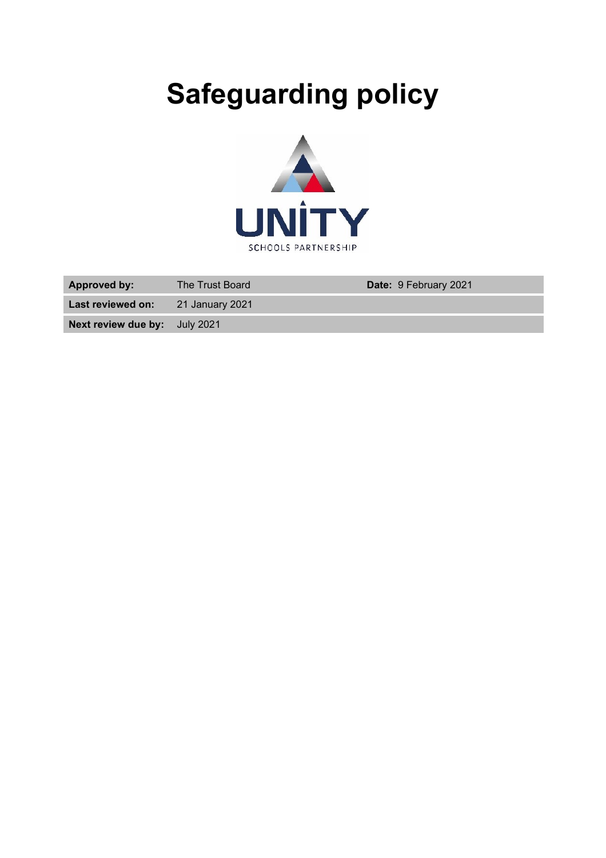# **Safeguarding policy**



| <b>Approved by:</b>                  | The Trust Board | <b>Date: 9 February 2021</b> |
|--------------------------------------|-----------------|------------------------------|
| Last reviewed on:                    | 21 January 2021 |                              |
| <b>Next review due by:</b> July 2021 |                 |                              |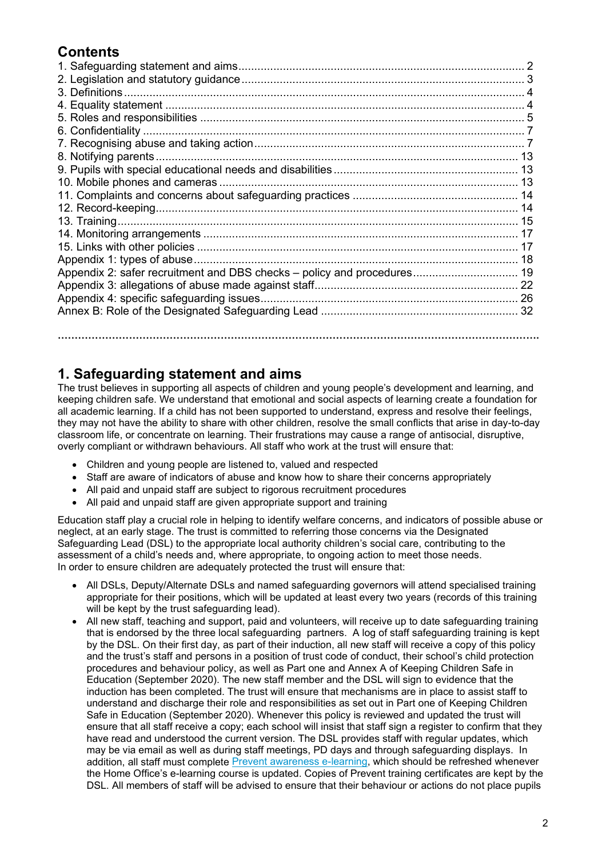## **Contents**

| Appendix 2: safer recruitment and DBS checks – policy and procedures 19 |  |
|-------------------------------------------------------------------------|--|
|                                                                         |  |
|                                                                         |  |
|                                                                         |  |
|                                                                         |  |
|                                                                         |  |

## **1. Safeguarding statement and aims**

The trust believes in supporting all aspects of children and young people's development and learning, and keeping children safe. We understand that emotional and social aspects of learning create a foundation for all academic learning. If a child has not been supported to understand, express and resolve their feelings, they may not have the ability to share with other children, resolve the small conflicts that arise in day-to-day classroom life, or concentrate on learning. Their frustrations may cause a range of antisocial, disruptive, overly compliant or withdrawn behaviours. All staff who work at the trust will ensure that:

- Children and young people are listened to, valued and respected
- Staff are aware of indicators of abuse and know how to share their concerns appropriately
- All paid and unpaid staff are subject to rigorous recruitment procedures
- All paid and unpaid staff are given appropriate support and training

Education staff play a crucial role in helping to identify welfare concerns, and indicators of possible abuse or neglect, at an early stage. The trust is committed to referring those concerns via the Designated Safeguarding Lead (DSL) to the appropriate local authority children's social care, contributing to the assessment of a child's needs and, where appropriate, to ongoing action to meet those needs. In order to ensure children are adequately protected the trust will ensure that:

- All DSLs, Deputy/Alternate DSLs and named safeguarding governors will attend specialised training appropriate for their positions, which will be updated at least every two years (records of this training will be kept by the trust safeguarding lead).
- All new staff, teaching and support, paid and volunteers, will receive up to date safeguarding training that is endorsed by the three local safeguarding partners. A log of staff safeguarding training is kept by the DSL. On their first day, as part of their induction, all new staff will receive a copy of this policy and the trust's staff and persons in a position of trust code of conduct, their school's child protection procedures and behaviour policy, as well as Part one and Annex A of Keeping Children Safe in Education (September 2020). The new staff member and the DSL will sign to evidence that the induction has been completed. The trust will ensure that mechanisms are in place to assist staff to understand and discharge their role and responsibilities as set out in Part one of Keeping Children Safe in Education (September 2020). Whenever this policy is reviewed and updated the trust will ensure that all staff receive a copy; each school will insist that staff sign a register to confirm that they have read and understood the current version. The DSL provides staff with regular updates, which may be via email as well as during staff meetings, PD days and through safeguarding displays. In addition, all staff must complete **Prevent [awareness](https://www.elearning.prevent.homeoffice.gov.uk/edu/screen1.html) e-learning**, which should be refreshed whenever the Home Office's e-learning course is updated. Copies of Prevent training certificates are kept by the DSL. All members of staff will be advised to ensure that their behaviour or actions do not place pupils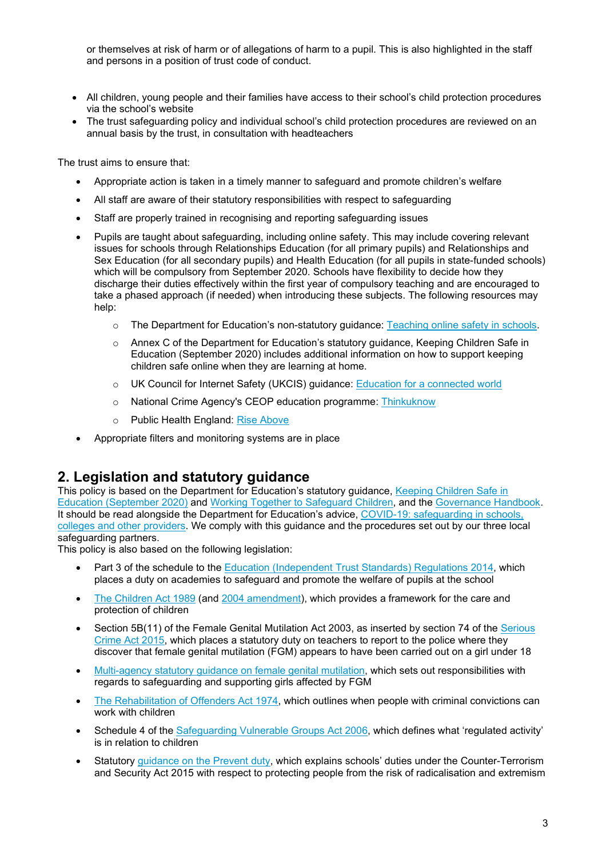or themselves at risk of harm or of allegations of harm to a pupil. This is also highlighted in the staff and persons in a position of trust code of conduct.

- All children, young people and their families have access to their school's child protection procedures via the school's website
- The trust safeguarding policy and individual school's child protection procedures are reviewed on an annual basis by the trust, in consultation with headteachers

The trust aims to ensure that:

- Appropriate action is taken in a timely manner to safeguard and promote children's welfare
- All staff are aware of their statutory responsibilities with respect to safeguarding
- Staff are properly trained in recognising and reporting safeguarding issues
- Pupils are taught about safeguarding, including online safety. This may include covering relevant issues for schools through Relationships Education (for all primary pupils) and Relationships and Sex Education (for all secondary pupils) and Health Education (for all pupils in state-funded schools) which will be compulsory from September 2020. Schools have flexibility to decide how they discharge their duties effectively within the first year of compulsory teaching and are encouraged to take a phased approach (if needed) when introducing these subjects. The following resources may help:
	- o The Department for Education's non-statutory guidance: [Teaching online safety in schools.](https://www.gov.uk/government/publications/teaching-online-safety-in-schools?utm_source=5ee7180c-64c2-4323-a785-52bf87d66f65&utm_medium=email&utm_campaign=govuk-notifications&utm_content=daily)
	- o Annex C of the Department for Education's statutory guidance, Keeping Children Safe in Education (September 2020) includes additional information on how to support keeping children safe online when they are learning at home.
	- o UK Council for Internet Safety (UKCIS) guidance: [Education for a connected](https://www.gov.uk/government/publications/education-for-a-connected-world) world
	- o National Crime Agency's CEOP education programme: [Thinkuknow](https://www.thinkuknow.co.uk/)
	- o Public Health England: [Rise Above](https://campaignresources.phe.gov.uk/schools/topics/rise-above/overview)
- Appropriate filters and monitoring systems are in place

## **2. Legislation and statutory guidance**

This policy is based on the Department for Education's statutory guidance, Keeping Children Safe in [Education](https://www.gov.uk/government/publications/keeping-children-safe-in-education--2) (September 2020) and [Working Together to Safeguard Children,](https://www.gov.uk/government/publications/working-together-to-safeguard-children--2) and the [Governance Handbook.](https://www.gov.uk/government/publications/governance-handbook) It should be read alongside the Department for Education's advice, [COVID-19: safeguarding in schools,](https://www.gov.uk/government/publications/covid-19-safeguarding-in-schools-colleges-and-other-providers/coronavirus-covid-19-safeguarding-in-schools-colleges-and-other-providers)  [colleges and other providers.](https://www.gov.uk/government/publications/covid-19-safeguarding-in-schools-colleges-and-other-providers/coronavirus-covid-19-safeguarding-in-schools-colleges-and-other-providers) We comply with this guidance and the procedures set out by our three local safeguarding partners.

This policy is also based on the following legislation:

- Part 3 of the schedule to the [Education \(Independent Trust](http://www.legislation.gov.uk/uksi/2014/3283/schedule/part/3/made) Standards) Regulations 2014, which places a duty on academies to safeguard and promote the welfare of pupils at the school
- [The Children Act 1989](http://www.legislation.gov.uk/ukpga/1989/41) (and [2004 amendment\)](http://www.legislation.gov.uk/ukpga/2004/31/contents), which provides a framework for the care and protection of children
- Section 5B(11) of the Female Genital Mutilation Act 2003, as inserted by section 74 of the Serious [Crime Act 2015,](http://www.legislation.gov.uk/ukpga/2015/9/part/5/crossheading/female-genital-mutilation) which places a statutory duty on teachers to report to the police where they discover that female genital mutilation (FGM) appears to have been carried out on a girl under 18
- [Multi-agency statutory guidance on female genital mutilation,](https://www.gov.uk/government/publications/multi-agency-statutory-guidance-on-female-genital-mutilation) which sets out responsibilities with regards to safeguarding and supporting girls affected by FGM
- [The Rehabilitation of Offenders Act 1974,](http://www.legislation.gov.uk/ukpga/1974/53) which outlines when people with criminal convictions can work with children
- Schedule 4 of the [Safeguarding Vulnerable Groups Act 2006,](http://www.legislation.gov.uk/ukpga/2006/47/schedule/4) which defines what 'regulated activity' is in relation to children
- Statutory quidance [on the Prevent duty,](https://www.gov.uk/government/publications/prevent-duty-guidance) which explains schools' duties under the Counter-Terrorism and Security Act 2015 with respect to protecting people from the risk of radicalisation and extremism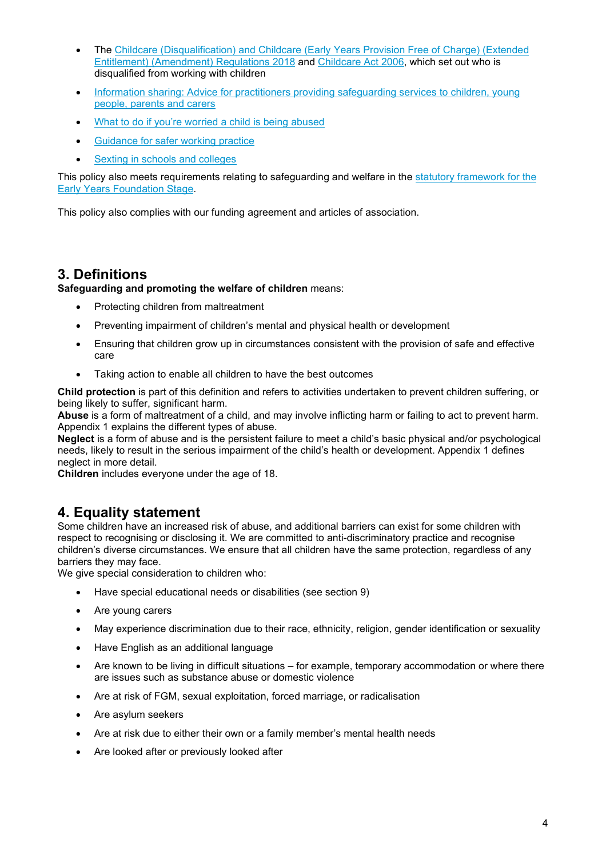- The Childcare (Disqualification) [and Childcare \(Early Years Provision Free of Charge\) \(Extended](http://www.legislation.gov.uk/uksi/2018/794/made)  [Entitlement\) \(Amendment\)](http://www.legislation.gov.uk/uksi/2018/794/made) Regulations 2018 and [Childcare Act](http://www.legislation.gov.uk/ukpga/2006/21/contents) 2006, which set out who is disqualified from working with children
- [Information sharing: Advice for practitioners providing safeguarding services to children, young](https://www.gov.uk/government/publications/safeguarding-practitioners-information-sharing-advice)  [people, parents and carers](https://www.gov.uk/government/publications/safeguarding-practitioners-information-sharing-advice)
- [What to do if you're worried a child is being abused](https://www.gov.uk/government/publications/what-to-do-if-youre-worried-a-child-is-being-abused--2)
- [Guidance for safer working practice](https://www.saferrecruitmentconsortium.org/GSWP%20May%202019%20final.pdf)
- [Sexting in schools and colleges](https://assets.publishing.service.gov.uk/government/uploads/system/uploads/attachment_data/file/609874/6_2939_SP_NCA_Sexting_In_Schools_FINAL_Update_Jan17.pdf)

This policy also meets requirements relating to safeguarding and welfare in the [statutory framework for the](https://www.gov.uk/government/publications/early-years-foundation-stage-framework--2)  [Early Years Foundation Stage.](https://www.gov.uk/government/publications/early-years-foundation-stage-framework--2)

This policy also complies with our funding agreement and articles of association.

## **3. Definitions**

**Safeguarding and promoting the welfare of children** means:

- Protecting children from maltreatment
- Preventing impairment of children's mental and physical health or development
- Ensuring that children grow up in circumstances consistent with the provision of safe and effective care
- Taking action to enable all children to have the best outcomes

**Child protection** is part of this definition and refers to activities undertaken to prevent children suffering, or being likely to suffer, significant harm.

**Abuse** is a form of maltreatment of a child, and may involve inflicting harm or failing to act to prevent harm. Appendix 1 explains the different types of abuse.

**Neglect** is a form of abuse and is the persistent failure to meet a child's basic physical and/or psychological needs, likely to result in the serious impairment of the child's health or development. Appendix 1 defines neglect in more detail.

**Children** includes everyone under the age of 18.

# **4. Equality statement**

Some children have an increased risk of abuse, and additional barriers can exist for some children with respect to recognising or disclosing it. We are committed to anti-discriminatory practice and recognise children's diverse circumstances. We ensure that all children have the same protection, regardless of any barriers they may face.

We give special consideration to children who:

- Have special educational needs or disabilities (see section 9)
- Are young carers
- May experience discrimination due to their race, ethnicity, religion, gender identification or sexuality
- Have English as an additional language
- Are known to be living in difficult situations for example, temporary accommodation or where there are issues such as substance abuse or domestic violence
- Are at risk of FGM, sexual exploitation, forced marriage, or radicalisation
- Are asylum seekers
- Are at risk due to either their own or a family member's mental health needs
- Are looked after or previously looked after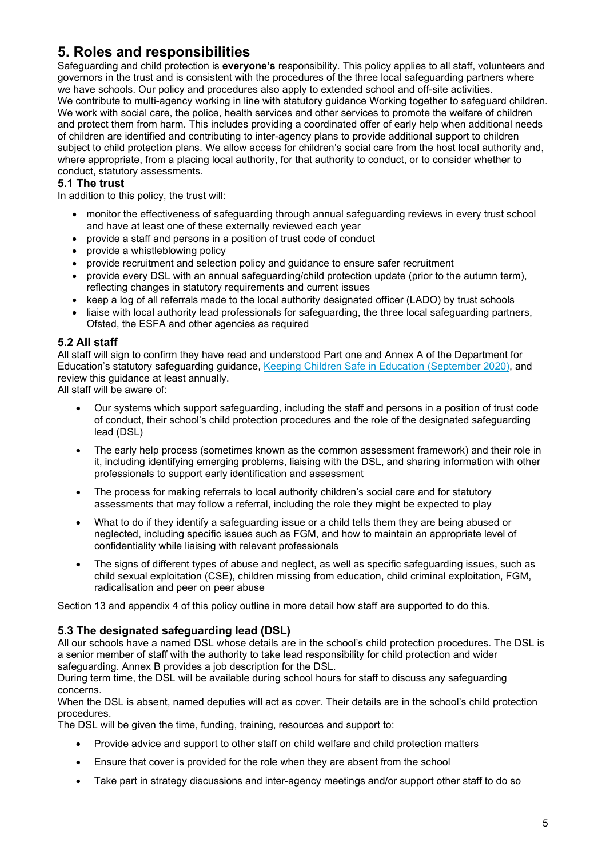# **5. Roles and responsibilities**

Safeguarding and child protection is **everyone's** responsibility. This policy applies to all staff, volunteers and governors in the trust and is consistent with the procedures of the three local safeguarding partners where we have schools. Our policy and procedures also apply to extended school and off-site activities. We contribute to multi-agency working in line with statutory guidance Working together to safeguard children. We work with social care, the police, health services and other services to promote the welfare of children and protect them from harm. This includes providing a coordinated offer of early help when additional needs of children are identified and contributing to inter-agency plans to provide additional support to children subject to child protection plans. We allow access for children's social care from the host local authority and, where appropriate, from a placing local authority, for that authority to conduct, or to consider whether to conduct, statutory assessments.

#### **5.1 The trust**

In addition to this policy, the trust will:

- monitor the effectiveness of safeguarding through annual safeguarding reviews in every trust school and have at least one of these externally reviewed each year
- provide a staff and persons in a position of trust code of conduct
- provide a whistleblowing policy
- provide recruitment and selection policy and guidance to ensure safer recruitment
- provide every DSL with an annual safeguarding/child protection update (prior to the autumn term), reflecting changes in statutory requirements and current issues
- keep a log of all referrals made to the local authority designated officer (LADO) by trust schools
- liaise with local authority lead professionals for safeguarding, the three local safeguarding partners, Ofsted, the ESFA and other agencies as required

#### **5.2 All staff**

All staff will sign to confirm they have read and understood Part one and Annex A of the Department for Education's statutory safeguarding guidance, [Keeping Children Safe in Education](https://www.gov.uk/government/publications/keeping-children-safe-in-education--2) (September 2020), and review this guidance at least annually.

All staff will be aware of:

- Our systems which support safeguarding, including the staff and persons in a position of trust code of conduct, their school's child protection procedures and the role of the designated safeguarding lead (DSL)
- The early help process (sometimes known as the common assessment framework) and their role in it, including identifying emerging problems, liaising with the DSL, and sharing information with other professionals to support early identification and assessment
- The process for making referrals to local authority children's social care and for statutory assessments that may follow a referral, including the role they might be expected to play
- What to do if they identify a safeguarding issue or a child tells them they are being abused or neglected, including specific issues such as FGM, and how to maintain an appropriate level of confidentiality while liaising with relevant professionals
- The signs of different types of abuse and neglect, as well as specific safeguarding issues, such as child sexual exploitation (CSE), children missing from education, child criminal exploitation, FGM, radicalisation and peer on peer abuse

Section 13 and appendix 4 of this policy outline in more detail how staff are supported to do this.

#### **5.3 The designated safeguarding lead (DSL)**

All our schools have a named DSL whose details are in the school's child protection procedures. The DSL is a senior member of staff with the authority to take lead responsibility for child protection and wider safeguarding. Annex B provides a job description for the DSL.

During term time, the DSL will be available during school hours for staff to discuss any safeguarding concerns.

When the DSL is absent, named deputies will act as cover. Their details are in the school's child protection procedures.

The DSL will be given the time, funding, training, resources and support to:

- Provide advice and support to other staff on child welfare and child protection matters
- Ensure that cover is provided for the role when they are absent from the school
- Take part in strategy discussions and inter-agency meetings and/or support other staff to do so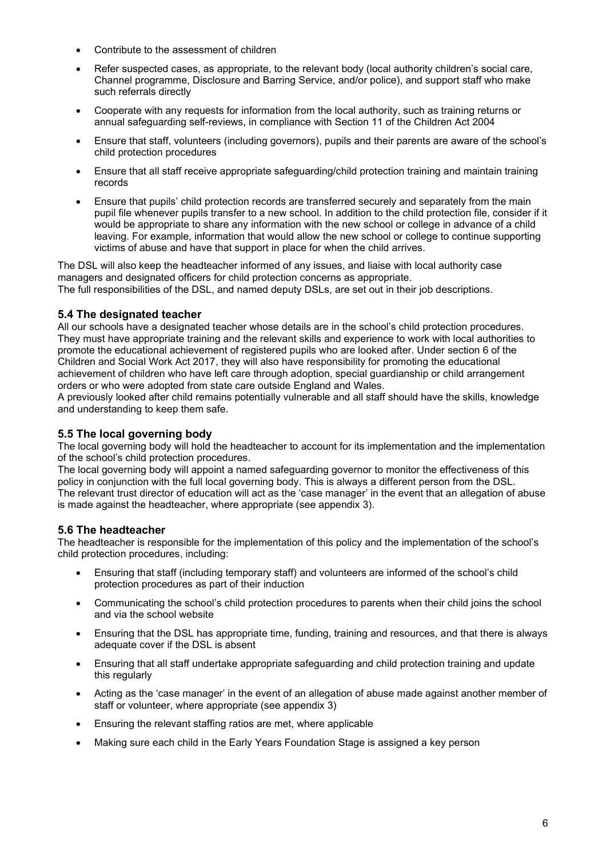- Contribute to the assessment of children
- Refer suspected cases, as appropriate, to the relevant body (local authority children's social care, Channel programme, Disclosure and Barring Service, and/or police), and support staff who make such referrals directly
- Cooperate with any requests for information from the local authority, such as training returns or annual safeguarding self-reviews, in compliance with Section 11 of the Children Act 2004
- Ensure that staff, volunteers (including governors), pupils and their parents are aware of the school's child protection procedures
- Ensure that all staff receive appropriate safeguarding/child protection training and maintain training records
- Ensure that pupils' child protection records are transferred securely and separately from the main pupil file whenever pupils transfer to a new school. In addition to the child protection file, consider if it would be appropriate to share any information with the new school or college in advance of a child leaving. For example, information that would allow the new school or college to continue supporting victims of abuse and have that support in place for when the child arrives.

The DSL will also keep the headteacher informed of any issues, and liaise with local authority case managers and designated officers for child protection concerns as appropriate. The full responsibilities of the DSL, and named deputy DSLs, are set out in their job descriptions.

#### **5.4 The designated teacher**

All our schools have a designated teacher whose details are in the school's child protection procedures. They must have appropriate training and the relevant skills and experience to work with local authorities to promote the educational achievement of registered pupils who are looked after. Under section 6 of the Children and Social Work Act 2017, they will also have responsibility for promoting the educational achievement of children who have left care through adoption, special guardianship or child arrangement orders or who were adopted from state care outside England and Wales.

A previously looked after child remains potentially vulnerable and all staff should have the skills, knowledge and understanding to keep them safe.

#### **5.5 The local governing body**

The local governing body will hold the headteacher to account for its implementation and the implementation of the school's child protection procedures.

The local governing body will appoint a named safeguarding governor to monitor the effectiveness of this policy in conjunction with the full local governing body. This is always a different person from the DSL. The relevant trust director of education will act as the 'case manager' in the event that an allegation of abuse is made against the headteacher, where appropriate (see appendix 3).

#### **5.6 The headteacher**

The headteacher is responsible for the implementation of this policy and the implementation of the school's child protection procedures, including:

- Ensuring that staff (including temporary staff) and volunteers are informed of the school's child protection procedures as part of their induction
- Communicating the school's child protection procedures to parents when their child joins the school and via the school website
- Ensuring that the DSL has appropriate time, funding, training and resources, and that there is always adequate cover if the DSL is absent
- Ensuring that all staff undertake appropriate safeguarding and child protection training and update this regularly
- Acting as the 'case manager' in the event of an allegation of abuse made against another member of staff or volunteer, where appropriate (see appendix 3)
- Ensuring the relevant staffing ratios are met, where applicable
- Making sure each child in the Early Years Foundation Stage is assigned a key person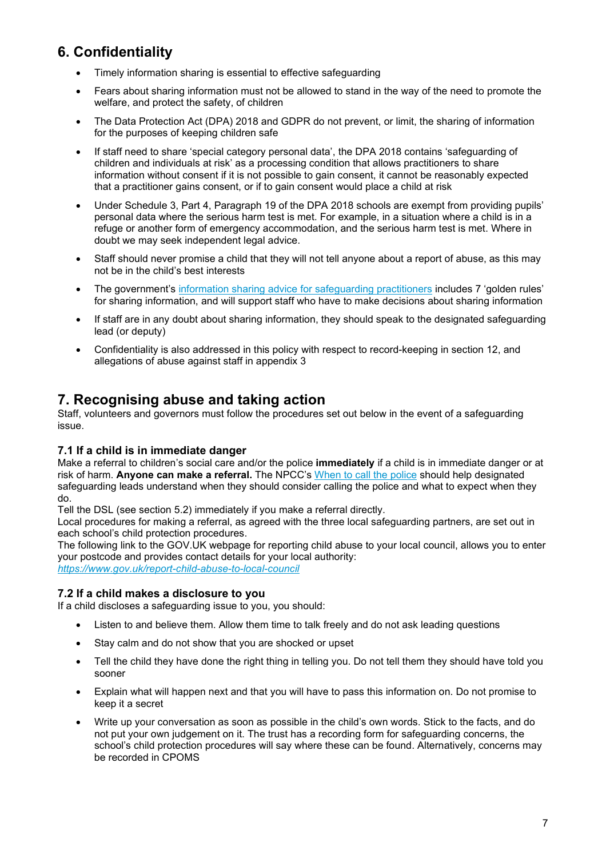# **6. Confidentiality**

- Timely information sharing is essential to effective safeguarding
- Fears about sharing information must not be allowed to stand in the way of the need to promote the welfare, and protect the safety, of children
- The Data Protection Act (DPA) 2018 and GDPR do not prevent, or limit, the sharing of information for the purposes of keeping children safe
- If staff need to share 'special category personal data', the DPA 2018 contains 'safeguarding of children and individuals at risk' as a processing condition that allows practitioners to share information without consent if it is not possible to gain consent, it cannot be reasonably expected that a practitioner gains consent, or if to gain consent would place a child at risk
- Under Schedule 3, Part 4, Paragraph 19 of the DPA 2018 schools are exempt from providing pupils' personal data where the serious harm test is met. For example, in a situation where a child is in a refuge or another form of emergency accommodation, and the serious harm test is met. Where in doubt we may seek independent legal advice.
- Staff should never promise a child that they will not tell anyone about a report of abuse, as this may not be in the child's best interests
- The government's [information sharing advice for safeguarding practitioners](https://www.gov.uk/government/publications/safeguarding-practitioners-information-sharing-advice) includes 7 'golden rules' for sharing information, and will support staff who have to make decisions about sharing information
- If staff are in any doubt about sharing information, they should speak to the designated safeguarding lead (or deputy)
- Confidentiality is also addressed in this policy with respect to record-keeping in section 12, and allegations of abuse against staff in appendix 3

## **7. Recognising abuse and taking action**

Staff, volunteers and governors must follow the procedures set out below in the event of a safeguarding issue.

#### **7.1 If a child is in immediate danger**

Make a referral to children's social care and/or the police **immediately** if a child is in immediate danger or at risk of harm. **Anyone can make a referral.** The NPCC's [When to call the police](https://www.npcc.police.uk/documents/Children%20and%20Young%20people/When%20to%20call%20the%20police%20guidance%20for%20schools%20and%20colleges.pdf) should help designated safeguarding leads understand when they should consider calling the police and what to expect when they do.

Tell the DSL (see section 5.2) immediately if you make a referral directly.

Local procedures for making a referral, as agreed with the three local safeguarding partners, are set out in each school's child protection procedures.

The following link to the GOV.UK webpage for reporting child abuse to your local council, allows you to enter your postcode and provides contact details for your local authority:

*<https://www.gov.uk/report-child-abuse-to-local-council>*

#### **7.2 If a child makes a disclosure to you**

If a child discloses a safeguarding issue to you, you should:

- Listen to and believe them. Allow them time to talk freely and do not ask leading questions
- Stay calm and do not show that you are shocked or upset
- Tell the child they have done the right thing in telling you. Do not tell them they should have told you sooner
- Explain what will happen next and that you will have to pass this information on. Do not promise to keep it a secret
- Write up your conversation as soon as possible in the child's own words. Stick to the facts, and do not put your own judgement on it. The trust has a recording form for safeguarding concerns, the school's child protection procedures will say where these can be found. Alternatively, concerns may be recorded in CPOMS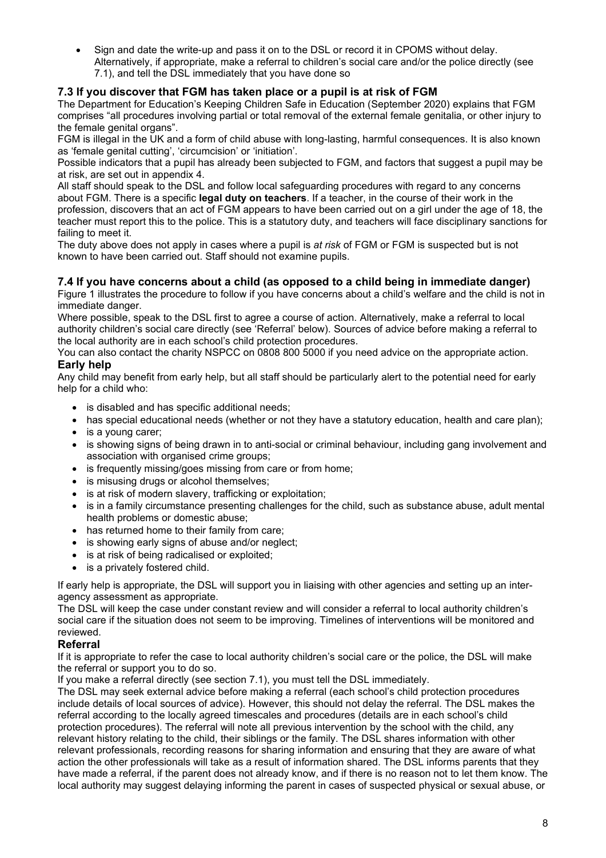• Sign and date the write-up and pass it on to the DSL or record it in CPOMS without delay. Alternatively, if appropriate, make a referral to children's social care and/or the police directly (see 7.1), and tell the DSL immediately that you have done so

#### **7.3 If you discover that FGM has taken place or a pupil is at risk of FGM**

The Department for Education's Keeping Children Safe in Education (September 2020) explains that FGM comprises "all procedures involving partial or total removal of the external female genitalia, or other injury to the female genital organs".

FGM is illegal in the UK and a form of child abuse with long-lasting, harmful consequences. It is also known as 'female genital cutting', 'circumcision' or 'initiation'.

Possible indicators that a pupil has already been subjected to FGM, and factors that suggest a pupil may be at risk, are set out in appendix 4.

All staff should speak to the DSL and follow local safeguarding procedures with regard to any concerns about FGM. There is a specific **legal duty on teachers**. If a teacher, in the course of their work in the profession, discovers that an act of FGM appears to have been carried out on a girl under the age of 18, the teacher must report this to the police. This is a statutory duty, and teachers will face disciplinary sanctions for failing to meet it.

The duty above does not apply in cases where a pupil is *at risk* of FGM or FGM is suspected but is not known to have been carried out. Staff should not examine pupils.

#### **7.4 If you have concerns about a child (as opposed to a child being in immediate danger)**

Figure 1 illustrates the procedure to follow if you have concerns about a child's welfare and the child is not in immediate danger.

Where possible, speak to the DSL first to agree a course of action. Alternatively, make a referral to local authority children's social care directly (see 'Referral' below). Sources of advice before making a referral to the local authority are in each school's child protection procedures.

You can also contact the charity NSPCC on 0808 800 5000 if you need advice on the appropriate action.

#### **Early help**

Any child may benefit from early help, but all staff should be particularly alert to the potential need for early help for a child who:

- is disabled and has specific additional needs;
- has special educational needs (whether or not they have a statutory education, health and care plan);
- is a voung carer:
- is showing signs of being drawn in to anti-social or criminal behaviour, including gang involvement and association with organised crime groups;
- is frequently missing/goes missing from care or from home;
- is misusing drugs or alcohol themselves;
- is at risk of modern slavery, trafficking or exploitation;
- is in a family circumstance presenting challenges for the child, such as substance abuse, adult mental health problems or domestic abuse;
- has returned home to their family from care;
- is showing early signs of abuse and/or neglect;
- is at risk of being radicalised or exploited;
- is a privately fostered child.

If early help is appropriate, the DSL will support you in liaising with other agencies and setting up an interagency assessment as appropriate.

The DSL will keep the case under constant review and will consider a referral to local authority children's social care if the situation does not seem to be improving. Timelines of interventions will be monitored and reviewed.

#### **Referral**

If it is appropriate to refer the case to local authority children's social care or the police, the DSL will make the referral or support you to do so.

If you make a referral directly (see section 7.1), you must tell the DSL immediately.

The DSL may seek external advice before making a referral (each school's child protection procedures include details of local sources of advice). However, this should not delay the referral. The DSL makes the referral according to the locally agreed timescales and procedures (details are in each school's child protection procedures). The referral will note all previous intervention by the school with the child, any relevant history relating to the child, their siblings or the family. The DSL shares information with other relevant professionals, recording reasons for sharing information and ensuring that they are aware of what action the other professionals will take as a result of information shared. The DSL informs parents that they have made a referral, if the parent does not already know, and if there is no reason not to let them know. The local authority may suggest delaying informing the parent in cases of suspected physical or sexual abuse, or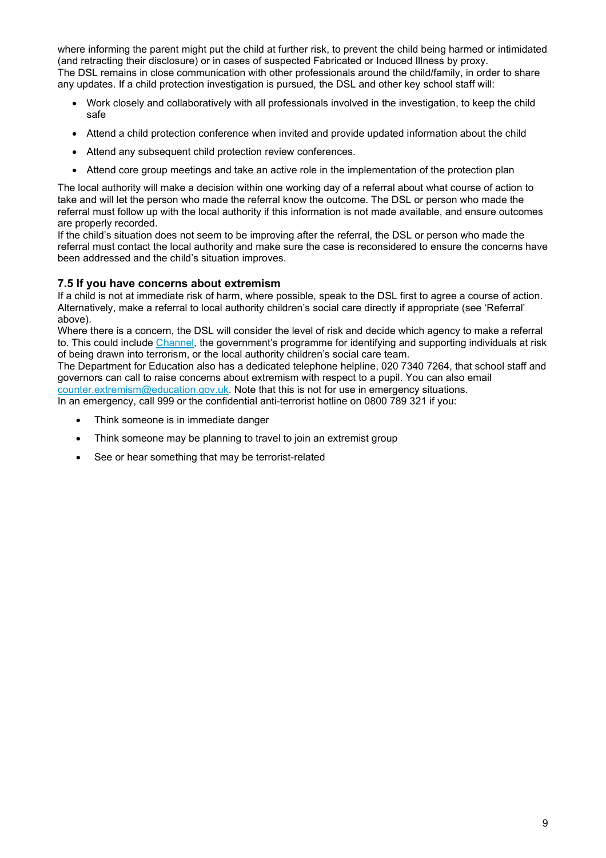where informing the parent might put the child at further risk, to prevent the child being harmed or intimidated (and retracting their disclosure) or in cases of suspected Fabricated or Induced Illness by proxy. The DSL remains in close communication with other professionals around the child/family, in order to share any updates. If a child protection investigation is pursued, the DSL and other key school staff will:

- Work closely and collaboratively with all professionals involved in the investigation, to keep the child safe
- Attend a child protection conference when invited and provide updated information about the child
- Attend any subsequent child protection review conferences.
- Attend core group meetings and take an active role in the implementation of the protection plan

The local authority will make a decision within one working day of a referral about what course of action to take and will let the person who made the referral know the outcome. The DSL or person who made the referral must follow up with the local authority if this information is not made available, and ensure outcomes are properly recorded.

If the child's situation does not seem to be improving after the referral, the DSL or person who made the referral must contact the local authority and make sure the case is reconsidered to ensure the concerns have been addressed and the child's situation improves.

#### **7.5 If you have concerns about extremism**

If a child is not at immediate risk of harm, where possible, speak to the DSL first to agree a course of action. Alternatively, make a referral to local authority children's social care directly if appropriate (see 'Referral' above).

Where there is a concern, the DSL will consider the level of risk and decide which agency to make a referral to. This could include [Channel,](https://www.gov.uk/government/publications/channel-guidance) the government's programme for identifying and supporting individuals at risk of being drawn into terrorism, or the local authority children's social care team.

The Department for Education also has a dedicated telephone helpline, 020 7340 7264, that school staff and governors can call to raise concerns about extremism with respect to a pupil. You can also email [counter.extremism@education.gov.uk.](mailto:counter.extremism@education.gov.uk) Note that this is not for use in emergency situations.

In an emergency, call 999 or the confidential anti-terrorist hotline on 0800 789 321 if you:

- Think someone is in immediate danger
- Think someone may be planning to travel to join an extremist group
- See or hear something that may be terrorist-related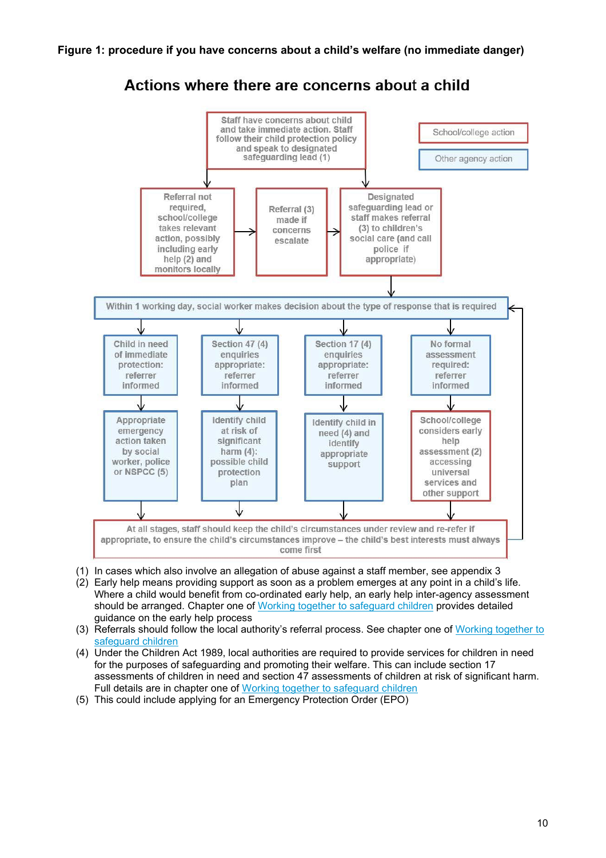

## Actions where there are concerns about a child

- (1) In cases which also involve an allegation of abuse against a staff member, see appendix 3
- (2) Early help means providing support as soon as a problem emerges at any point in a child's life. Where a child would benefit from co-ordinated early help, an early help inter-agency assessment should be arranged. Chapter one of [Working together to safeguard children](https://www.gov.uk/government/publications/working-together-to-safeguard-children--2) provides detailed guidance on the early help process
- (3) Referrals should follow the local authority's referral process. See chapter one of [Working together to](https://www.gov.uk/government/publications/working-together-to-safeguard-children--2)  [safeguard children](https://www.gov.uk/government/publications/working-together-to-safeguard-children--2)
- (4) Under the Children Act 1989, local authorities are required to provide services for children in need for the purposes of safeguarding and promoting their welfare. This can include section 17 assessments of children in need and section 47 assessments of children at risk of significant harm. Full details are in chapter one of [Working together to safeguard children](https://www.gov.uk/government/publications/working-together-to-safeguard-children--2)
- (5) This could include applying for an Emergency Protection Order (EPO)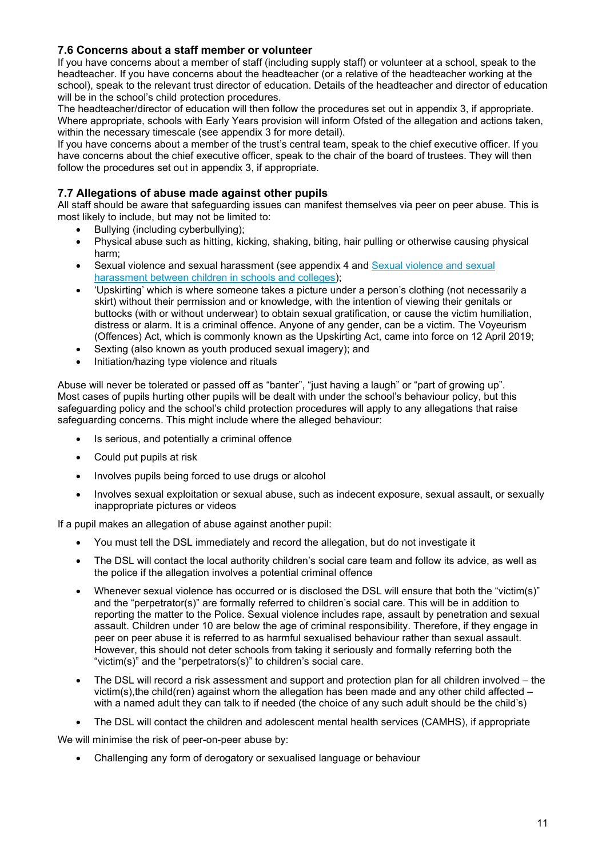#### **7.6 Concerns about a staff member or volunteer**

If you have concerns about a member of staff (including supply staff) or volunteer at a school, speak to the headteacher. If you have concerns about the headteacher (or a relative of the headteacher working at the school), speak to the relevant trust director of education. Details of the headteacher and director of education will be in the school's child protection procedures.

The headteacher/director of education will then follow the procedures set out in appendix 3, if appropriate. Where appropriate, schools with Early Years provision will inform Ofsted of the allegation and actions taken, within the necessary timescale (see appendix 3 for more detail).

If you have concerns about a member of the trust's central team, speak to the chief executive officer. If you have concerns about the chief executive officer, speak to the chair of the board of trustees. They will then follow the procedures set out in appendix 3, if appropriate.

#### **7.7 Allegations of abuse made against other pupils**

All staff should be aware that safeguarding issues can manifest themselves via peer on peer abuse. This is most likely to include, but may not be limited to:

- Bullying (including cyberbullying);
- Physical abuse such as hitting, kicking, shaking, biting, hair pulling or otherwise causing physical harm;
- [Sexual violence and sexual](https://www.gov.uk/government/publications/sexual-violence-and-sexual-harassment-between-children-in-schools-and-colleges) harassment (see appendix 4 and Sexual violence and sexual [harassment between children in schools and colleges\)](https://www.gov.uk/government/publications/sexual-violence-and-sexual-harassment-between-children-in-schools-and-colleges);
- 'Upskirting' which is where someone takes a picture under a person's clothing (not necessarily a skirt) without their permission and or knowledge, with the intention of viewing their genitals or buttocks (with or without underwear) to obtain sexual gratification, or cause the victim humiliation, distress or alarm. It is a criminal offence. Anyone of any gender, can be a victim. The Voyeurism (Offences) Act, which is commonly known as the Upskirting Act, came into force on 12 April 2019;
- Sexting (also known as youth produced sexual imagery); and
- Initiation/hazing type violence and rituals

Abuse will never be tolerated or passed off as "banter", "just having a laugh" or "part of growing up". Most cases of pupils hurting other pupils will be dealt with under the school's behaviour policy, but this safeguarding policy and the school's child protection procedures will apply to any allegations that raise safeguarding concerns. This might include where the alleged behaviour:

- Is serious, and potentially a criminal offence
- Could put pupils at risk
- Involves pupils being forced to use drugs or alcohol
- Involves sexual exploitation or sexual abuse, such as indecent exposure, sexual assault, or sexually inappropriate pictures or videos

If a pupil makes an allegation of abuse against another pupil:

- You must tell the DSL immediately and record the allegation, but do not investigate it
- The DSL will contact the local authority children's social care team and follow its advice, as well as the police if the allegation involves a potential criminal offence
- Whenever sexual violence has occurred or is disclosed the DSL will ensure that both the "victim(s)" and the "perpetrator(s)" are formally referred to children's social care. This will be in addition to reporting the matter to the Police. Sexual violence includes rape, assault by penetration and sexual assault. Children under 10 are below the age of criminal responsibility. Therefore, if they engage in peer on peer abuse it is referred to as harmful sexualised behaviour rather than sexual assault. However, this should not deter schools from taking it seriously and formally referring both the "victim(s)" and the "perpetrators(s)" to children's social care.
- The DSL will record a risk assessment and support and protection plan for all children involved the victim(s), the child(ren) against whom the allegation has been made and any other child affected  $$ with a named adult they can talk to if needed (the choice of any such adult should be the child's)
- The DSL will contact the children and adolescent mental health services (CAMHS), if appropriate

We will minimise the risk of peer-on-peer abuse by:

• Challenging any form of derogatory or sexualised language or behaviour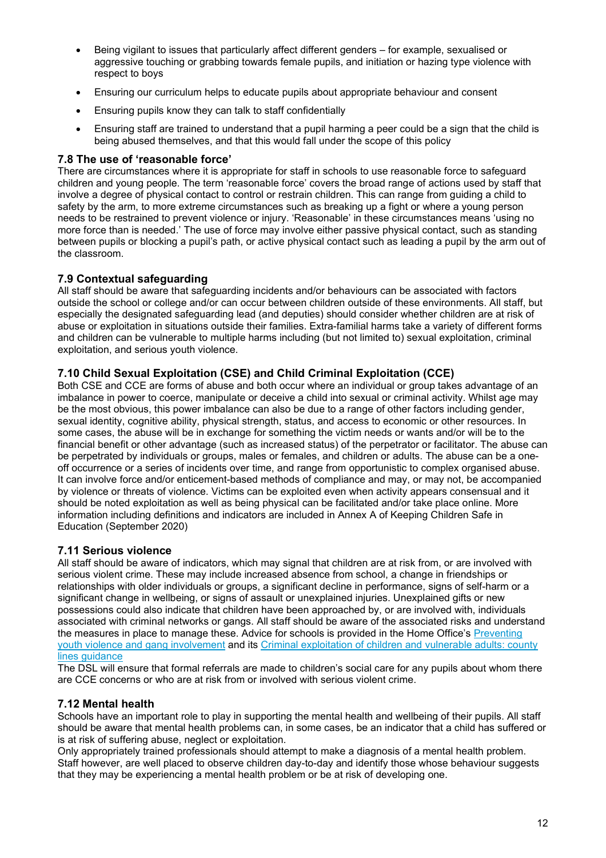- Being vigilant to issues that particularly affect different genders for example, sexualised or aggressive touching or grabbing towards female pupils, and initiation or hazing type violence with respect to boys
- Ensuring our curriculum helps to educate pupils about appropriate behaviour and consent
- Ensuring pupils know they can talk to staff confidentially
- Ensuring staff are trained to understand that a pupil harming a peer could be a sign that the child is being abused themselves, and that this would fall under the scope of this policy

#### **7.8 The use of 'reasonable force'**

There are circumstances where it is appropriate for staff in schools to use reasonable force to safeguard children and young people. The term 'reasonable force' covers the broad range of actions used by staff that involve a degree of physical contact to control or restrain children. This can range from guiding a child to safety by the arm, to more extreme circumstances such as breaking up a fight or where a young person needs to be restrained to prevent violence or injury. 'Reasonable' in these circumstances means 'using no more force than is needed.' The use of force may involve either passive physical contact, such as standing between pupils or blocking a pupil's path, or active physical contact such as leading a pupil by the arm out of the classroom.

#### **7.9 Contextual safeguarding**

All staff should be aware that safeguarding incidents and/or behaviours can be associated with factors outside the school or college and/or can occur between children outside of these environments. All staff, but especially the designated safeguarding lead (and deputies) should consider whether children are at risk of abuse or exploitation in situations outside their families. Extra-familial harms take a variety of different forms and children can be vulnerable to multiple harms including (but not limited to) sexual exploitation, criminal exploitation, and serious youth violence.

#### **7.10 Child Sexual Exploitation (CSE) and Child Criminal Exploitation (CCE)**

Both CSE and CCE are forms of abuse and both occur where an individual or group takes advantage of an imbalance in power to coerce, manipulate or deceive a child into sexual or criminal activity. Whilst age may be the most obvious, this power imbalance can also be due to a range of other factors including gender, sexual identity, cognitive ability, physical strength, status, and access to economic or other resources. In some cases, the abuse will be in exchange for something the victim needs or wants and/or will be to the financial benefit or other advantage (such as increased status) of the perpetrator or facilitator. The abuse can be perpetrated by individuals or groups, males or females, and children or adults. The abuse can be a oneoff occurrence or a series of incidents over time, and range from opportunistic to complex organised abuse. It can involve force and/or enticement-based methods of compliance and may, or may not, be accompanied by violence or threats of violence. Victims can be exploited even when activity appears consensual and it should be noted exploitation as well as being physical can be facilitated and/or take place online. More information including definitions and indicators are included in Annex A of Keeping Children Safe in Education (September 2020)

#### **7.11 Serious violence**

All staff should be aware of indicators, which may signal that children are at risk from, or are involved with serious violent crime. These may include increased absence from school, a change in friendships or relationships with older individuals or groups, a significant decline in performance, signs of self-harm or a significant change in wellbeing, or signs of assault or unexplained injuries. Unexplained gifts or new possessions could also indicate that children have been approached by, or are involved with, individuals associated with criminal networks or gangs. All staff should be aware of the associated risks and understand the measures in place to manage these. Advice for schools is provided in the Home Office's Preventing [youth violence and gang involvement](https://www.gov.uk/government/publications/advice-to-schools-and-colleges-on-gangs-and-youth-violence) and its [Criminal exploitation of children and vulnerable adults: county](https://www.gov.uk/government/publications/criminal-exploitation-of-children-and-vulnerable-adults-county-lines)  lines quidance

The DSL will ensure that formal referrals are made to children's social care for any pupils about whom there are CCE concerns or who are at risk from or involved with serious violent crime.

#### **7.12 Mental health**

Schools have an important role to play in supporting the mental health and wellbeing of their pupils. All staff should be aware that mental health problems can, in some cases, be an indicator that a child has suffered or is at risk of suffering abuse, neglect or exploitation.

Only appropriately trained professionals should attempt to make a diagnosis of a mental health problem. Staff however, are well placed to observe children day-to-day and identify those whose behaviour suggests that they may be experiencing a mental health problem or be at risk of developing one.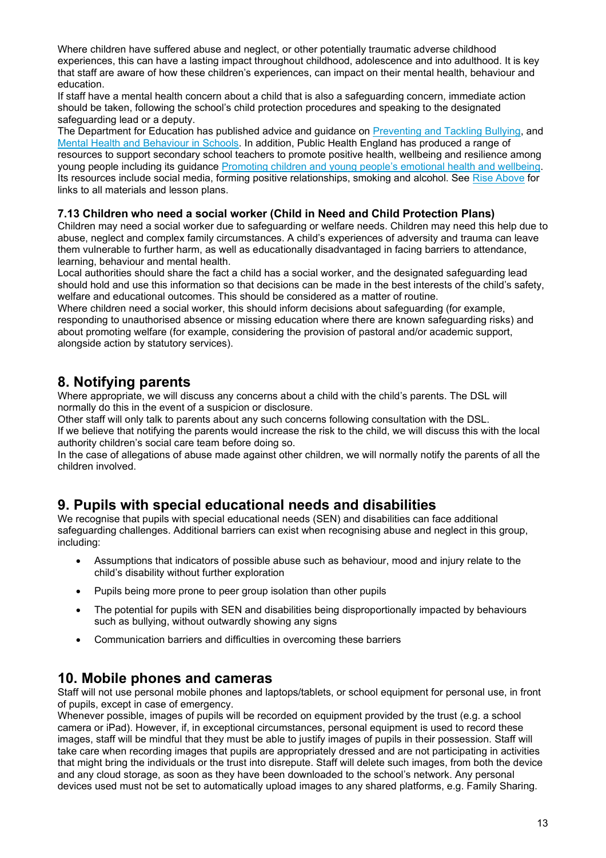Where children have suffered abuse and neglect, or other potentially traumatic adverse childhood experiences, this can have a lasting impact throughout childhood, adolescence and into adulthood. It is key that staff are aware of how these children's experiences, can impact on their mental health, behaviour and education.

If staff have a mental health concern about a child that is also a safeguarding concern, immediate action should be taken, following the school's child protection procedures and speaking to the designated safeguarding lead or a deputy.

The Department for Education has published advice and guidance on [Preventing and Tackling Bullying,](https://assets.publishing.service.gov.uk/government/uploads/system/uploads/attachment_data/file/623895/Preventing_and_tackling_bullying_advice.pdf) and [Mental Health and Behaviour in Schools.](https://www.gov.uk/government/publications/mental-health-and-behaviour-in-schools--2) In addition, Public Health England has produced a range of resources to support secondary school teachers to promote positive health, wellbeing and resilience among young people including its guidance [Promoting children and young people's emotional health and wellbeing.](https://www.gov.uk/government/publications/promoting-children-and-young-peoples-emotional-health-and-wellbeing) Its resources include social media, forming positive relationships, smoking and alcohol. See [Rise Above](https://campaignresources.phe.gov.uk/schools/topics/rise-above/overview) for links to all materials and lesson plans.

#### **7.13 Children who need a social worker (Child in Need and Child Protection Plans)**

Children may need a social worker due to safeguarding or welfare needs. Children may need this help due to abuse, neglect and complex family circumstances. A child's experiences of adversity and trauma can leave them vulnerable to further harm, as well as educationally disadvantaged in facing barriers to attendance, learning, behaviour and mental health.

Local authorities should share the fact a child has a social worker, and the designated safeguarding lead should hold and use this information so that decisions can be made in the best interests of the child's safety, welfare and educational outcomes. This should be considered as a matter of routine.

Where children need a social worker, this should inform decisions about safeguarding (for example, responding to unauthorised absence or missing education where there are known safeguarding risks) and about promoting welfare (for example, considering the provision of pastoral and/or academic support, alongside action by statutory services).

## **8. Notifying parents**

Where appropriate, we will discuss any concerns about a child with the child's parents. The DSL will normally do this in the event of a suspicion or disclosure.

Other staff will only talk to parents about any such concerns following consultation with the DSL. If we believe that notifying the parents would increase the risk to the child, we will discuss this with the local authority children's social care team before doing so.

In the case of allegations of abuse made against other children, we will normally notify the parents of all the children involved.

## **9. Pupils with special educational needs and disabilities**

We recognise that pupils with special educational needs (SEN) and disabilities can face additional safeguarding challenges. Additional barriers can exist when recognising abuse and neglect in this group, including:

- Assumptions that indicators of possible abuse such as behaviour, mood and injury relate to the child's disability without further exploration
- Pupils being more prone to peer group isolation than other pupils
- The potential for pupils with SEN and disabilities being disproportionally impacted by behaviours such as bullying, without outwardly showing any signs
- Communication barriers and difficulties in overcoming these barriers

## **10. Mobile phones and cameras**

Staff will not use personal mobile phones and laptops/tablets, or school equipment for personal use, in front of pupils, except in case of emergency.

Whenever possible, images of pupils will be recorded on equipment provided by the trust (e.g. a school camera or iPad). However, if, in exceptional circumstances, personal equipment is used to record these images, staff will be mindful that they must be able to justify images of pupils in their possession. Staff will take care when recording images that pupils are appropriately dressed and are not participating in activities that might bring the individuals or the trust into disrepute. Staff will delete such images, from both the device and any cloud storage, as soon as they have been downloaded to the school's network. Any personal devices used must not be set to automatically upload images to any shared platforms, e.g. Family Sharing.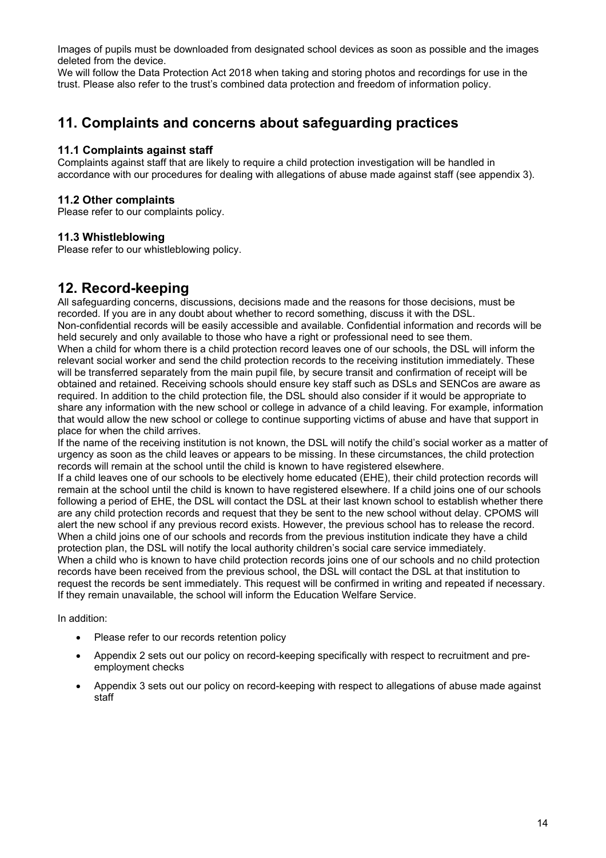Images of pupils must be downloaded from designated school devices as soon as possible and the images deleted from the device.

We will follow the Data Protection Act 2018 when taking and storing photos and recordings for use in the trust. Please also refer to the trust's combined data protection and freedom of information policy.

## **11. Complaints and concerns about safeguarding practices**

#### **11.1 Complaints against staff**

Complaints against staff that are likely to require a child protection investigation will be handled in accordance with our procedures for dealing with allegations of abuse made against staff (see appendix 3).

#### **11.2 Other complaints**

Please refer to our complaints policy.

#### **11.3 Whistleblowing**

Please refer to our whistleblowing policy.

## **12. Record-keeping**

All safeguarding concerns, discussions, decisions made and the reasons for those decisions, must be recorded. If you are in any doubt about whether to record something, discuss it with the DSL. Non-confidential records will be easily accessible and available. Confidential information and records will be held securely and only available to those who have a right or professional need to see them. When a child for whom there is a child protection record leaves one of our schools, the DSL will inform the relevant social worker and send the child protection records to the receiving institution immediately. These will be transferred separately from the main pupil file, by secure transit and confirmation of receipt will be obtained and retained. Receiving schools should ensure key staff such as DSLs and SENCos are aware as required. In addition to the child protection file, the DSL should also consider if it would be appropriate to share any information with the new school or college in advance of a child leaving. For example, information that would allow the new school or college to continue supporting victims of abuse and have that support in place for when the child arrives.

If the name of the receiving institution is not known, the DSL will notify the child's social worker as a matter of urgency as soon as the child leaves or appears to be missing. In these circumstances, the child protection records will remain at the school until the child is known to have registered elsewhere.

If a child leaves one of our schools to be electively home educated (EHE), their child protection records will remain at the school until the child is known to have registered elsewhere. If a child joins one of our schools following a period of EHE, the DSL will contact the DSL at their last known school to establish whether there are any child protection records and request that they be sent to the new school without delay. CPOMS will alert the new school if any previous record exists. However, the previous school has to release the record. When a child joins one of our schools and records from the previous institution indicate they have a child protection plan, the DSL will notify the local authority children's social care service immediately. When a child who is known to have child protection records joins one of our schools and no child protection

records have been received from the previous school, the DSL will contact the DSL at that institution to request the records be sent immediately. This request will be confirmed in writing and repeated if necessary. If they remain unavailable, the school will inform the Education Welfare Service.

In addition:

- Please refer to our records retention policy
- Appendix 2 sets out our policy on record-keeping specifically with respect to recruitment and preemployment checks
- Appendix 3 sets out our policy on record-keeping with respect to allegations of abuse made against staff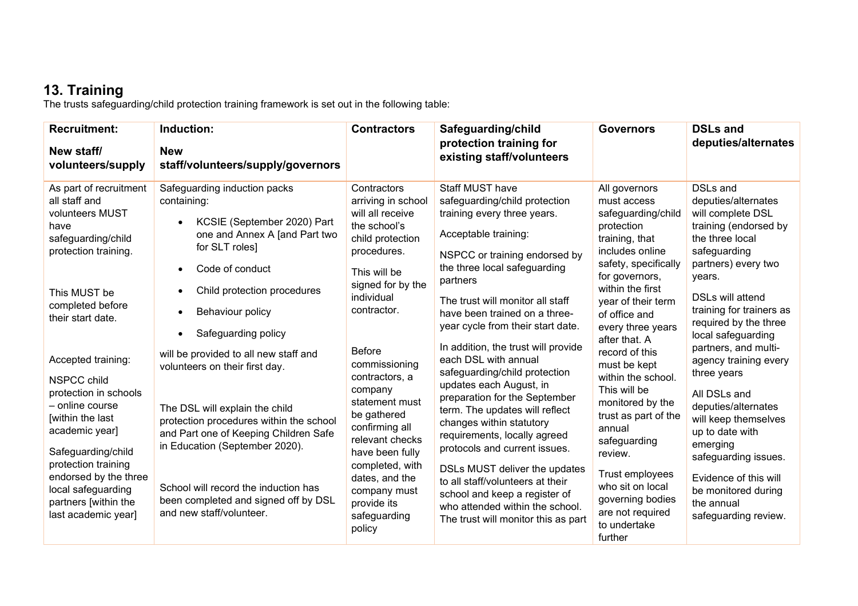## **13. Training**

The trusts safeguarding/child protection training framework is set out in the following table:

| <b>Recruitment:</b><br>New staff/<br>volunteers/supply                                                                                          | Induction:<br><b>New</b><br>staff/volunteers/supply/governors                                                                                                                                                                   | <b>Contractors</b>                                                                                                                                   | Safeguarding/child<br>protection training for<br>existing staff/volunteers                                                                                                                                                                       | <b>Governors</b>                                                                                                                                      | <b>DSLs and</b><br>deputies/alternates                                                                                                                     |
|-------------------------------------------------------------------------------------------------------------------------------------------------|---------------------------------------------------------------------------------------------------------------------------------------------------------------------------------------------------------------------------------|------------------------------------------------------------------------------------------------------------------------------------------------------|--------------------------------------------------------------------------------------------------------------------------------------------------------------------------------------------------------------------------------------------------|-------------------------------------------------------------------------------------------------------------------------------------------------------|------------------------------------------------------------------------------------------------------------------------------------------------------------|
| As part of recruitment<br>all staff and<br>volunteers MUST<br>have<br>safeguarding/child<br>protection training.                                | Safeguarding induction packs<br>containing:<br>KCSIE (September 2020) Part<br>$\bullet$<br>one and Annex A [and Part two<br>for SLT roles]<br>Code of conduct<br>$\bullet$                                                      | Contractors<br>arriving in school<br>will all receive<br>the school's<br>child protection<br>procedures.<br>This will be                             | <b>Staff MUST have</b><br>safeguarding/child protection<br>training every three years.<br>Acceptable training:<br>NSPCC or training endorsed by<br>the three local safeguarding                                                                  | All governors<br>must access<br>safeguarding/child<br>protection<br>training, that<br>includes online<br>safety, specifically                         | <b>DSLs and</b><br>deputies/alternates<br>will complete DSL<br>training (endorsed by<br>the three local<br>safeguarding<br>partners) every two             |
| This MUST be<br>completed before<br>their start date.                                                                                           | Child protection procedures<br>$\bullet$<br>Behaviour policy<br>$\bullet$<br>Safeguarding policy<br>$\bullet$                                                                                                                   | signed for by the<br>individual<br>contractor.                                                                                                       | partners<br>The trust will monitor all staff<br>have been trained on a three-<br>year cycle from their start date.<br>In addition, the trust will provide                                                                                        | for governors,<br>within the first<br>year of their term<br>of office and<br>every three years<br>after that. A                                       | years.<br><b>DSLs will attend</b><br>training for trainers as<br>required by the three<br>local safeguarding<br>partners, and multi-                       |
| Accepted training:<br><b>NSPCC child</b><br>protection in schools<br>- online course<br>within the last<br>academic year]<br>Safeguarding/child | will be provided to all new staff and<br>volunteers on their first day.<br>The DSL will explain the child<br>protection procedures within the school<br>and Part one of Keeping Children Safe<br>in Education (September 2020). | <b>Before</b><br>commissioning<br>contractors, a<br>company<br>statement must<br>be gathered<br>confirming all<br>relevant checks<br>have been fully | each DSL with annual<br>safeguarding/child protection<br>updates each August, in<br>preparation for the September<br>term. The updates will reflect<br>changes within statutory<br>requirements, locally agreed<br>protocols and current issues. | record of this<br>must be kept<br>within the school.<br>This will be<br>monitored by the<br>trust as part of the<br>annual<br>safeguarding<br>review. | agency training every<br>three years<br>All DSLs and<br>deputies/alternates<br>will keep themselves<br>up to date with<br>emerging<br>safeguarding issues. |
| protection training<br>endorsed by the three<br>local safeguarding<br>partners [within the<br>last academic year]                               | School will record the induction has<br>been completed and signed off by DSL<br>and new staff/volunteer.                                                                                                                        | completed, with<br>dates, and the<br>company must<br>provide its<br>safeguarding<br>policy                                                           | DSLs MUST deliver the updates<br>to all staff/volunteers at their<br>school and keep a register of<br>who attended within the school.<br>The trust will monitor this as part                                                                     | Trust employees<br>who sit on local<br>governing bodies<br>are not required<br>to undertake<br>further                                                | Evidence of this will<br>be monitored during<br>the annual<br>safeguarding review.                                                                         |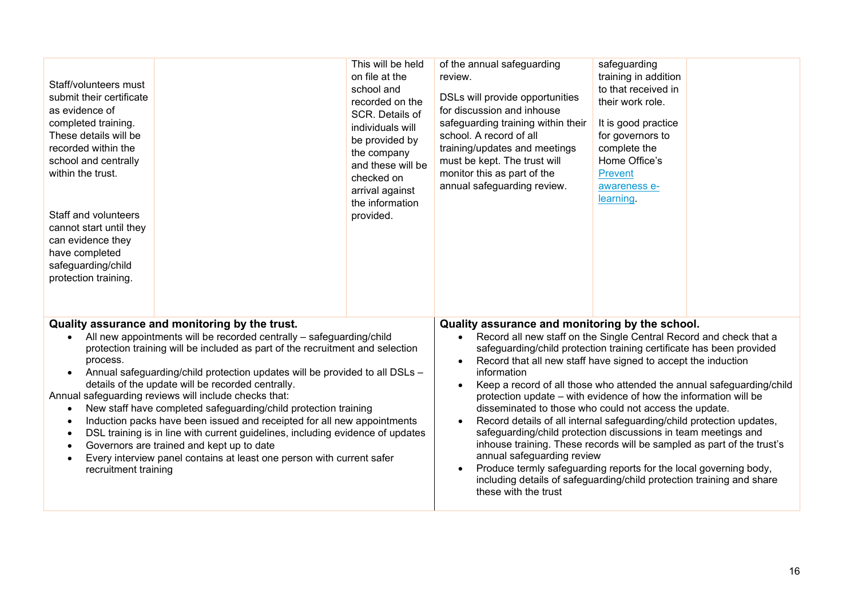| Staff/volunteers must<br>submit their certificate<br>as evidence of<br>completed training.<br>These details will be<br>recorded within the<br>school and centrally<br>within the trust.<br>Staff and volunteers<br>cannot start until they<br>can evidence they<br>have completed<br>safeguarding/child<br>protection training.                                                                                                                                                                                                                                                                                                                                                                                                                                                                                                                                              |  | This will be held<br>on file at the<br>school and<br>recorded on the<br>SCR. Details of<br>individuals will<br>be provided by<br>the company<br>and these will be<br>checked on<br>arrival against<br>the information<br>provided.                                                                                                                                                                                                                                                                                                                                                                                                                                                                                                                                                                                                                                                                                                      | of the annual safeguarding<br>review.<br>DSLs will provide opportunities<br>for discussion and inhouse<br>safeguarding training within their<br>school. A record of all<br>training/updates and meetings<br>must be kept. The trust will<br>monitor this as part of the<br>annual safeguarding review. | safeguarding<br>training in addition<br>to that received in<br>their work role.<br>It is good practice<br>for governors to<br>complete the<br>Home Office's<br><b>Prevent</b><br>awareness e-<br>learning. |  |
|------------------------------------------------------------------------------------------------------------------------------------------------------------------------------------------------------------------------------------------------------------------------------------------------------------------------------------------------------------------------------------------------------------------------------------------------------------------------------------------------------------------------------------------------------------------------------------------------------------------------------------------------------------------------------------------------------------------------------------------------------------------------------------------------------------------------------------------------------------------------------|--|-----------------------------------------------------------------------------------------------------------------------------------------------------------------------------------------------------------------------------------------------------------------------------------------------------------------------------------------------------------------------------------------------------------------------------------------------------------------------------------------------------------------------------------------------------------------------------------------------------------------------------------------------------------------------------------------------------------------------------------------------------------------------------------------------------------------------------------------------------------------------------------------------------------------------------------------|--------------------------------------------------------------------------------------------------------------------------------------------------------------------------------------------------------------------------------------------------------------------------------------------------------|------------------------------------------------------------------------------------------------------------------------------------------------------------------------------------------------------------|--|
| Quality assurance and monitoring by the trust.<br>All new appointments will be recorded centrally - safeguarding/child<br>protection training will be included as part of the recruitment and selection<br>process.<br>Annual safeguarding/child protection updates will be provided to all DSLs -<br>$\bullet$<br>details of the update will be recorded centrally.<br>Annual safeguarding reviews will include checks that:<br>New staff have completed safeguarding/child protection training<br>$\bullet$<br>Induction packs have been issued and receipted for all new appointments<br>$\bullet$<br>DSL training is in line with current guidelines, including evidence of updates<br>$\bullet$<br>Governors are trained and kept up to date<br>$\bullet$<br>Every interview panel contains at least one person with current safer<br>$\bullet$<br>recruitment training |  | Quality assurance and monitoring by the school.<br>Record all new staff on the Single Central Record and check that a<br>$\bullet$<br>safeguarding/child protection training certificate has been provided<br>Record that all new staff have signed to accept the induction<br>information<br>Keep a record of all those who attended the annual safeguarding/child<br>protection update – with evidence of how the information will be<br>disseminated to those who could not access the update.<br>Record details of all internal safeguarding/child protection updates,<br>$\bullet$<br>safeguarding/child protection discussions in team meetings and<br>inhouse training. These records will be sampled as part of the trust's<br>annual safeguarding review<br>Produce termly safeguarding reports for the local governing body,<br>including details of safeguarding/child protection training and share<br>these with the trust |                                                                                                                                                                                                                                                                                                        |                                                                                                                                                                                                            |  |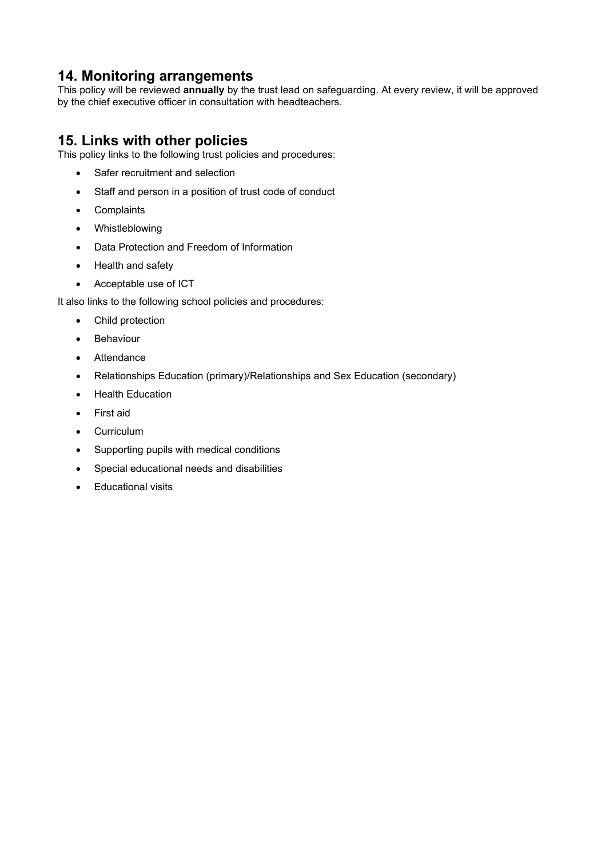## **14. Monitoring arrangements**

This policy will be reviewed **annually** by the trust lead on safeguarding. At every review, it will be approved by the chief executive officer in consultation with headteachers.

## **15. Links with other policies**

This policy links to the following trust policies and procedures:

- Safer recruitment and selection
- Staff and person in a position of trust code of conduct
- Complaints
- Whistleblowing
- Data Protection and Freedom of Information
- Health and safety
- Acceptable use of ICT

It also links to the following school policies and procedures:

- Child protection
- Behaviour
- Attendance
- Relationships Education (primary)/Relationships and Sex Education (secondary)
- Health Education
- First aid
- Curriculum
- Supporting pupils with medical conditions
- Special educational needs and disabilities
- Educational visits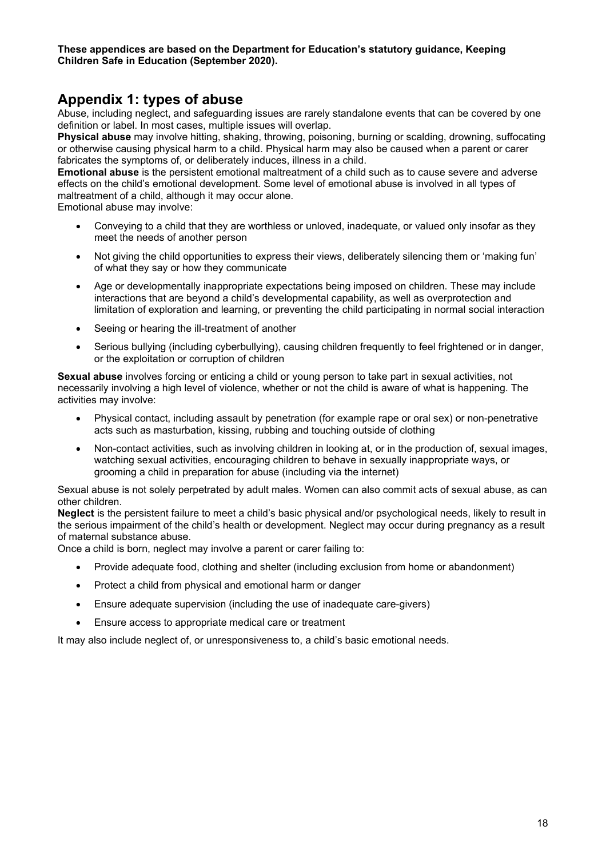#### **These appendices are based on the Department for Education's statutory guidance, Keeping Children Safe in Education (September 2020).**

## **Appendix 1: types of abuse**

Abuse, including neglect, and safeguarding issues are rarely standalone events that can be covered by one definition or label. In most cases, multiple issues will overlap.

**Physical abuse** may involve hitting, shaking, throwing, poisoning, burning or scalding, drowning, suffocating or otherwise causing physical harm to a child. Physical harm may also be caused when a parent or carer fabricates the symptoms of, or deliberately induces, illness in a child.

**Emotional abuse** is the persistent emotional maltreatment of a child such as to cause severe and adverse effects on the child's emotional development. Some level of emotional abuse is involved in all types of maltreatment of a child, although it may occur alone.

Emotional abuse may involve:

- Conveying to a child that they are worthless or unloved, inadequate, or valued only insofar as they meet the needs of another person
- Not giving the child opportunities to express their views, deliberately silencing them or 'making fun' of what they say or how they communicate
- Age or developmentally inappropriate expectations being imposed on children. These may include interactions that are beyond a child's developmental capability, as well as overprotection and limitation of exploration and learning, or preventing the child participating in normal social interaction
- Seeing or hearing the ill-treatment of another
- Serious bullying (including cyberbullying), causing children frequently to feel frightened or in danger, or the exploitation or corruption of children

**Sexual abuse** involves forcing or enticing a child or young person to take part in sexual activities, not necessarily involving a high level of violence, whether or not the child is aware of what is happening. The activities may involve:

- Physical contact, including assault by penetration (for example rape or oral sex) or non-penetrative acts such as masturbation, kissing, rubbing and touching outside of clothing
- Non-contact activities, such as involving children in looking at, or in the production of, sexual images, watching sexual activities, encouraging children to behave in sexually inappropriate ways, or grooming a child in preparation for abuse (including via the internet)

Sexual abuse is not solely perpetrated by adult males. Women can also commit acts of sexual abuse, as can other children.

**Neglect** is the persistent failure to meet a child's basic physical and/or psychological needs, likely to result in the serious impairment of the child's health or development. Neglect may occur during pregnancy as a result of maternal substance abuse.

Once a child is born, neglect may involve a parent or carer failing to:

- Provide adequate food, clothing and shelter (including exclusion from home or abandonment)
- Protect a child from physical and emotional harm or danger
- Ensure adequate supervision (including the use of inadequate care-givers)
- Ensure access to appropriate medical care or treatment

It may also include neglect of, or unresponsiveness to, a child's basic emotional needs.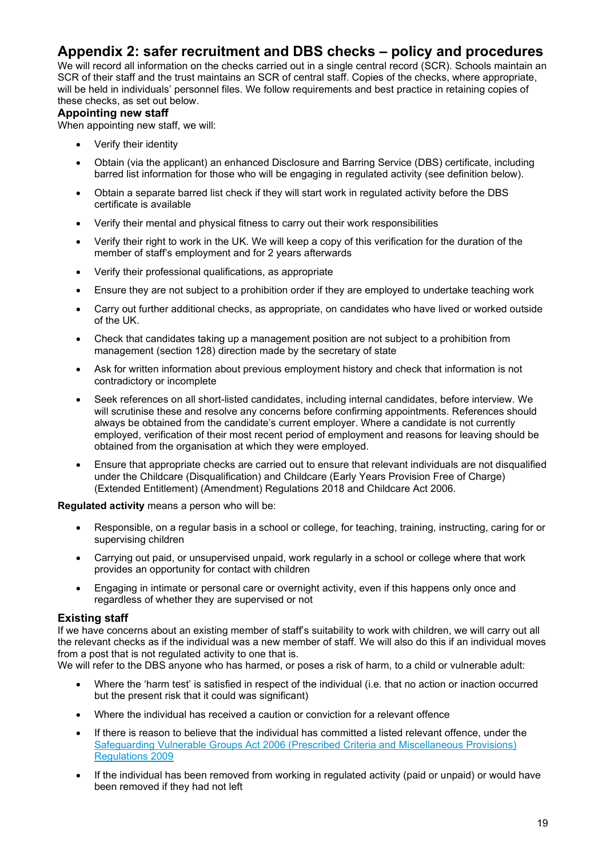## **Appendix 2: safer recruitment and DBS checks – policy and procedures**

We will record all information on the checks carried out in a single central record (SCR). Schools maintain an SCR of their staff and the trust maintains an SCR of central staff. Copies of the checks, where appropriate, will be held in individuals' personnel files. We follow requirements and best practice in retaining copies of these checks, as set out below.

#### **Appointing new staff**

When appointing new staff, we will:

- Verify their identity
- Obtain (via the applicant) an enhanced Disclosure and Barring Service (DBS) certificate, including barred list information for those who will be engaging in regulated activity (see definition below).
- Obtain a separate barred list check if they will start work in regulated activity before the DBS certificate is available
- Verify their mental and physical fitness to carry out their work responsibilities
- Verify their right to work in the UK. We will keep a copy of this verification for the duration of the member of staff's employment and for 2 years afterwards
- Verify their professional qualifications, as appropriate
- Ensure they are not subject to a prohibition order if they are employed to undertake teaching work
- Carry out further additional checks, as appropriate, on candidates who have lived or worked outside of the UK.
- Check that candidates taking up a management position are not subject to a prohibition from management (section 128) direction made by the secretary of state
- Ask for written information about previous employment history and check that information is not contradictory or incomplete
- Seek references on all short-listed candidates, including internal candidates, before interview. We will scrutinise these and resolve any concerns before confirming appointments. References should always be obtained from the candidate's current employer. Where a candidate is not currently employed, verification of their most recent period of employment and reasons for leaving should be obtained from the organisation at which they were employed.
- Ensure that appropriate checks are carried out to ensure that relevant individuals are not disqualified under the Childcare (Disqualification) and Childcare (Early Years Provision Free of Charge) (Extended Entitlement) (Amendment) Regulations 2018 and Childcare Act 2006.

**Regulated activity** means a person who will be:

- Responsible, on a regular basis in a school or college, for teaching, training, instructing, caring for or supervising children
- Carrying out paid, or unsupervised unpaid, work regularly in a school or college where that work provides an opportunity for contact with children
- Engaging in intimate or personal care or overnight activity, even if this happens only once and regardless of whether they are supervised or not

#### **Existing staff**

If we have concerns about an existing member of staff's suitability to work with children, we will carry out all the relevant checks as if the individual was a new member of staff. We will also do this if an individual moves from a post that is not regulated activity to one that is.

We will refer to the DBS anyone who has harmed, or poses a risk of harm, to a child or vulnerable adult:

- Where the 'harm test' is satisfied in respect of the individual (i.e. that no action or inaction occurred but the present risk that it could was significant)
- Where the individual has received a caution or conviction for a relevant offence
- If there is reason to believe that the individual has committed a listed relevant offence, under the [Safeguarding Vulnerable Groups Act 2006 \(Prescribed Criteria and Miscellaneous Provisions\)](http://www.legislation.gov.uk/uksi/2009/37/contents/made)  [Regulations 2009](http://www.legislation.gov.uk/uksi/2009/37/contents/made)
- If the individual has been removed from working in regulated activity (paid or unpaid) or would have been removed if they had not left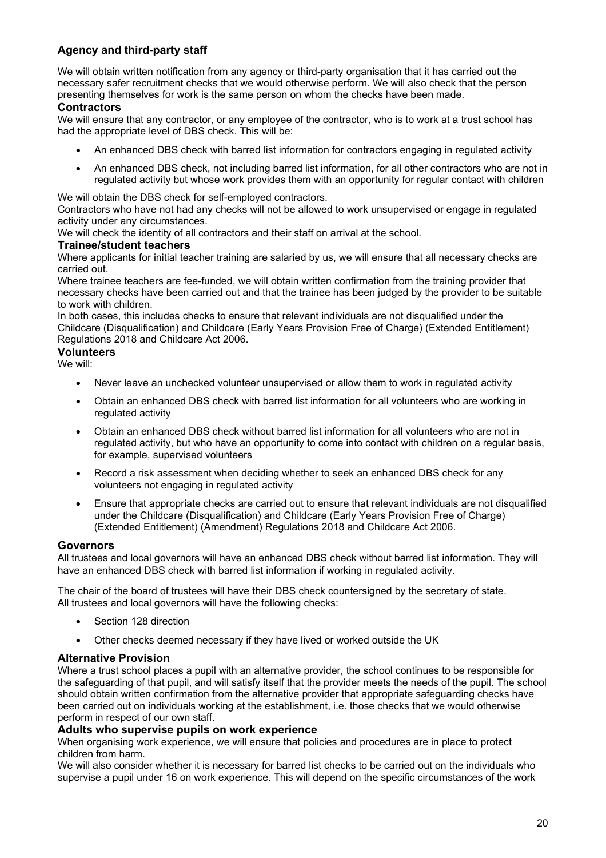#### **Agency and third-party staff**

We will obtain written notification from any agency or third-party organisation that it has carried out the necessary safer recruitment checks that we would otherwise perform. We will also check that the person presenting themselves for work is the same person on whom the checks have been made.

#### **Contractors**

We will ensure that any contractor, or any employee of the contractor, who is to work at a trust school has had the appropriate level of DBS check. This will be:

- An enhanced DBS check with barred list information for contractors engaging in regulated activity
- An enhanced DBS check, not including barred list information, for all other contractors who are not in regulated activity but whose work provides them with an opportunity for regular contact with children

We will obtain the DBS check for self-employed contractors.

Contractors who have not had any checks will not be allowed to work unsupervised or engage in regulated activity under any circumstances.

We will check the identity of all contractors and their staff on arrival at the school.

#### **Trainee/student teachers**

Where applicants for initial teacher training are salaried by us, we will ensure that all necessary checks are carried out.

Where trainee teachers are fee-funded, we will obtain written confirmation from the training provider that necessary checks have been carried out and that the trainee has been judged by the provider to be suitable to work with children.

In both cases, this includes checks to ensure that relevant individuals are not disqualified under the Childcare (Disqualification) and Childcare (Early Years Provision Free of Charge) (Extended Entitlement) Regulations 2018 and Childcare Act 2006.

#### **Volunteers**

We will:

- Never leave an unchecked volunteer unsupervised or allow them to work in regulated activity
- Obtain an enhanced DBS check with barred list information for all volunteers who are working in regulated activity
- Obtain an enhanced DBS check without barred list information for all volunteers who are not in regulated activity, but who have an opportunity to come into contact with children on a regular basis, for example, supervised volunteers
- Record a risk assessment when deciding whether to seek an enhanced DBS check for any volunteers not engaging in regulated activity
- Ensure that appropriate checks are carried out to ensure that relevant individuals are not disqualified under the Childcare (Disqualification) and Childcare (Early Years Provision Free of Charge) (Extended Entitlement) (Amendment) Regulations 2018 and Childcare Act 2006.

#### **Governors**

All trustees and local governors will have an enhanced DBS check without barred list information. They will have an enhanced DBS check with barred list information if working in regulated activity.

The chair of the board of trustees will have their DBS check countersigned by the secretary of state. All trustees and local governors will have the following checks:

- Section 128 direction
- Other checks deemed necessary if they have lived or worked outside the UK

#### **Alternative Provision**

Where a trust school places a pupil with an alternative provider, the school continues to be responsible for the safeguarding of that pupil, and will satisfy itself that the provider meets the needs of the pupil. The school should obtain written confirmation from the alternative provider that appropriate safeguarding checks have been carried out on individuals working at the establishment, i.e. those checks that we would otherwise perform in respect of our own staff.

#### **Adults who supervise pupils on work experience**

When organising work experience, we will ensure that policies and procedures are in place to protect children from harm.

We will also consider whether it is necessary for barred list checks to be carried out on the individuals who supervise a pupil under 16 on work experience. This will depend on the specific circumstances of the work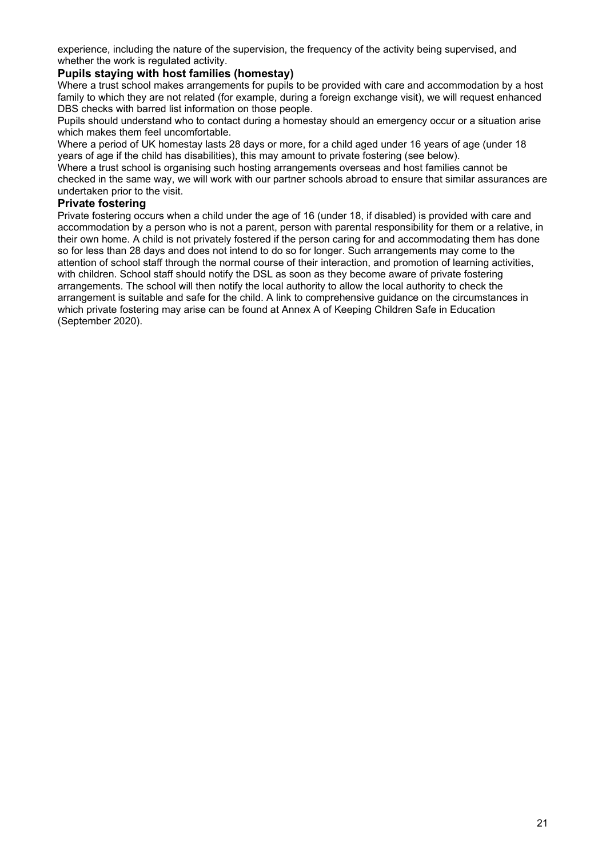experience, including the nature of the supervision, the frequency of the activity being supervised, and whether the work is regulated activity.

#### **Pupils staying with host families (homestay)**

Where a trust school makes arrangements for pupils to be provided with care and accommodation by a host family to which they are not related (for example, during a foreign exchange visit), we will request enhanced DBS checks with barred list information on those people.

Pupils should understand who to contact during a homestay should an emergency occur or a situation arise which makes them feel uncomfortable.

Where a period of UK homestay lasts 28 days or more, for a child aged under 16 years of age (under 18 years of age if the child has disabilities), this may amount to private fostering (see below).

Where a trust school is organising such hosting arrangements overseas and host families cannot be checked in the same way, we will work with our partner schools abroad to ensure that similar assurances are undertaken prior to the visit.

#### **Private fostering**

Private fostering occurs when a child under the age of 16 (under 18, if disabled) is provided with care and accommodation by a person who is not a parent, person with parental responsibility for them or a relative, in their own home. A child is not privately fostered if the person caring for and accommodating them has done so for less than 28 days and does not intend to do so for longer. Such arrangements may come to the attention of school staff through the normal course of their interaction, and promotion of learning activities, with children. School staff should notify the DSL as soon as they become aware of private fostering arrangements. The school will then notify the local authority to allow the local authority to check the arrangement is suitable and safe for the child. A link to comprehensive guidance on the circumstances in which private fostering may arise can be found at Annex A of Keeping Children Safe in Education (September 2020).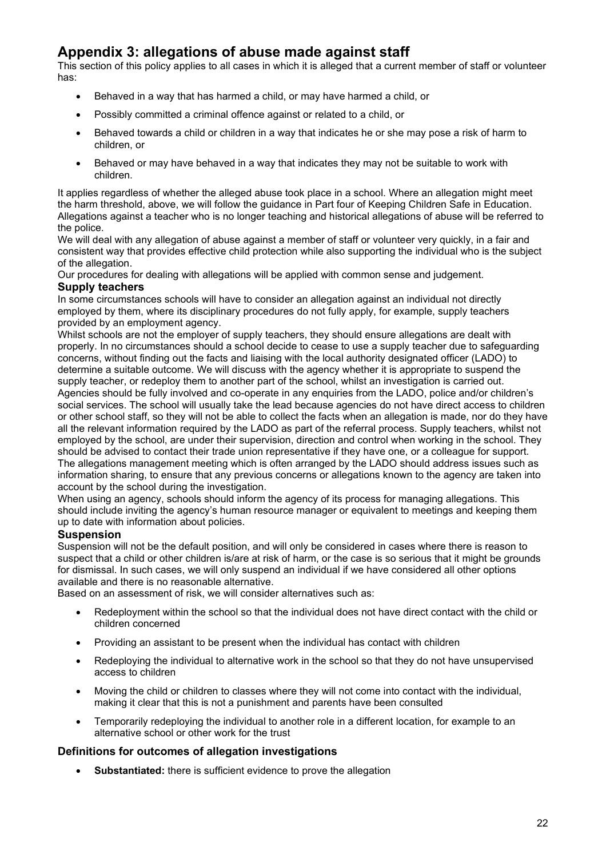## **Appendix 3: allegations of abuse made against staff**

This section of this policy applies to all cases in which it is alleged that a current member of staff or volunteer has:

- Behaved in a way that has harmed a child, or may have harmed a child, or
- Possibly committed a criminal offence against or related to a child, or
- Behaved towards a child or children in a way that indicates he or she may pose a risk of harm to children, or
- Behaved or may have behaved in a way that indicates they may not be suitable to work with children.

It applies regardless of whether the alleged abuse took place in a school. Where an allegation might meet the harm threshold, above, we will follow the guidance in Part four of Keeping Children Safe in Education. Allegations against a teacher who is no longer teaching and historical allegations of abuse will be referred to the police.

We will deal with any allegation of abuse against a member of staff or volunteer very quickly, in a fair and consistent way that provides effective child protection while also supporting the individual who is the subject of the allegation.

Our procedures for dealing with allegations will be applied with common sense and judgement.

#### **Supply teachers**

In some circumstances schools will have to consider an allegation against an individual not directly employed by them, where its disciplinary procedures do not fully apply, for example, supply teachers provided by an employment agency.

Whilst schools are not the employer of supply teachers, they should ensure allegations are dealt with properly. In no circumstances should a school decide to cease to use a supply teacher due to safeguarding concerns, without finding out the facts and liaising with the local authority designated officer (LADO) to determine a suitable outcome. We will discuss with the agency whether it is appropriate to suspend the supply teacher, or redeploy them to another part of the school, whilst an investigation is carried out. Agencies should be fully involved and co-operate in any enquiries from the LADO, police and/or children's social services. The school will usually take the lead because agencies do not have direct access to children or other school staff, so they will not be able to collect the facts when an allegation is made, nor do they have all the relevant information required by the LADO as part of the referral process. Supply teachers, whilst not employed by the school, are under their supervision, direction and control when working in the school. They should be advised to contact their trade union representative if they have one, or a colleague for support. The allegations management meeting which is often arranged by the LADO should address issues such as information sharing, to ensure that any previous concerns or allegations known to the agency are taken into account by the school during the investigation.

When using an agency, schools should inform the agency of its process for managing allegations. This should include inviting the agency's human resource manager or equivalent to meetings and keeping them up to date with information about policies.

#### **Suspension**

Suspension will not be the default position, and will only be considered in cases where there is reason to suspect that a child or other children is/are at risk of harm, or the case is so serious that it might be grounds for dismissal. In such cases, we will only suspend an individual if we have considered all other options available and there is no reasonable alternative.

Based on an assessment of risk, we will consider alternatives such as:

- Redeployment within the school so that the individual does not have direct contact with the child or children concerned
- Providing an assistant to be present when the individual has contact with children
- Redeploying the individual to alternative work in the school so that they do not have unsupervised access to children
- Moving the child or children to classes where they will not come into contact with the individual, making it clear that this is not a punishment and parents have been consulted
- Temporarily redeploying the individual to another role in a different location, for example to an alternative school or other work for the trust

#### **Definitions for outcomes of allegation investigations**

• **Substantiated:** there is sufficient evidence to prove the allegation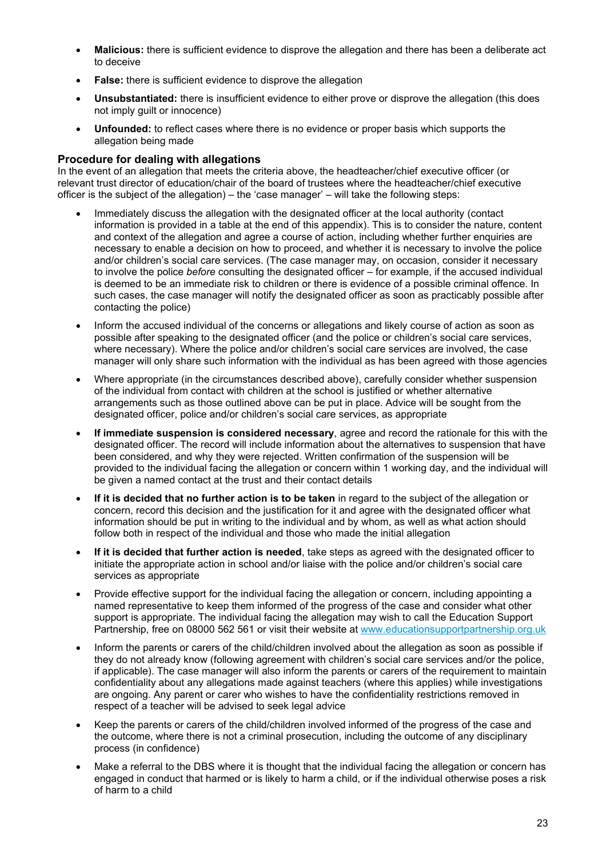- **Malicious:** there is sufficient evidence to disprove the allegation and there has been a deliberate act to deceive
- **False:** there is sufficient evidence to disprove the allegation
- **Unsubstantiated:** there is insufficient evidence to either prove or disprove the allegation (this does not imply guilt or innocence)
- **Unfounded:** to reflect cases where there is no evidence or proper basis which supports the allegation being made

#### **Procedure for dealing with allegations**

In the event of an allegation that meets the criteria above, the headteacher/chief executive officer (or relevant trust director of education/chair of the board of trustees where the headteacher/chief executive officer is the subject of the allegation) – the 'case manager' – will take the following steps:

- Immediately discuss the allegation with the designated officer at the local authority (contact information is provided in a table at the end of this appendix). This is to consider the nature, content and context of the allegation and agree a course of action, including whether further enquiries are necessary to enable a decision on how to proceed, and whether it is necessary to involve the police and/or children's social care services. (The case manager may, on occasion, consider it necessary to involve the police *before* consulting the designated officer – for example, if the accused individual is deemed to be an immediate risk to children or there is evidence of a possible criminal offence. In such cases, the case manager will notify the designated officer as soon as practicably possible after contacting the police)
- Inform the accused individual of the concerns or allegations and likely course of action as soon as possible after speaking to the designated officer (and the police or children's social care services, where necessary). Where the police and/or children's social care services are involved, the case manager will only share such information with the individual as has been agreed with those agencies
- Where appropriate (in the circumstances described above), carefully consider whether suspension of the individual from contact with children at the school is justified or whether alternative arrangements such as those outlined above can be put in place. Advice will be sought from the designated officer, police and/or children's social care services, as appropriate
- **If immediate suspension is considered necessary**, agree and record the rationale for this with the designated officer. The record will include information about the alternatives to suspension that have been considered, and why they were rejected. Written confirmation of the suspension will be provided to the individual facing the allegation or concern within 1 working day, and the individual will be given a named contact at the trust and their contact details
- **If it is decided that no further action is to be taken** in regard to the subject of the allegation or concern, record this decision and the justification for it and agree with the designated officer what information should be put in writing to the individual and by whom, as well as what action should follow both in respect of the individual and those who made the initial allegation
- **If it is decided that further action is needed**, take steps as agreed with the designated officer to initiate the appropriate action in school and/or liaise with the police and/or children's social care services as appropriate
- Provide effective support for the individual facing the allegation or concern, including appointing a named representative to keep them informed of the progress of the case and consider what other support is appropriate. The individual facing the allegation may wish to call the Education Support Partnership, free on 08000 562 561 or visit their website at [www.educationsupportpartnership.org.uk](http://www.educationsupportpartnership.org.uk/)
- Inform the parents or carers of the child/children involved about the allegation as soon as possible if they do not already know (following agreement with children's social care services and/or the police, if applicable). The case manager will also inform the parents or carers of the requirement to maintain confidentiality about any allegations made against teachers (where this applies) while investigations are ongoing. Any parent or carer who wishes to have the confidentiality restrictions removed in respect of a teacher will be advised to seek legal advice
- Keep the parents or carers of the child/children involved informed of the progress of the case and the outcome, where there is not a criminal prosecution, including the outcome of any disciplinary process (in confidence)
- Make a referral to the DBS where it is thought that the individual facing the allegation or concern has engaged in conduct that harmed or is likely to harm a child, or if the individual otherwise poses a risk of harm to a child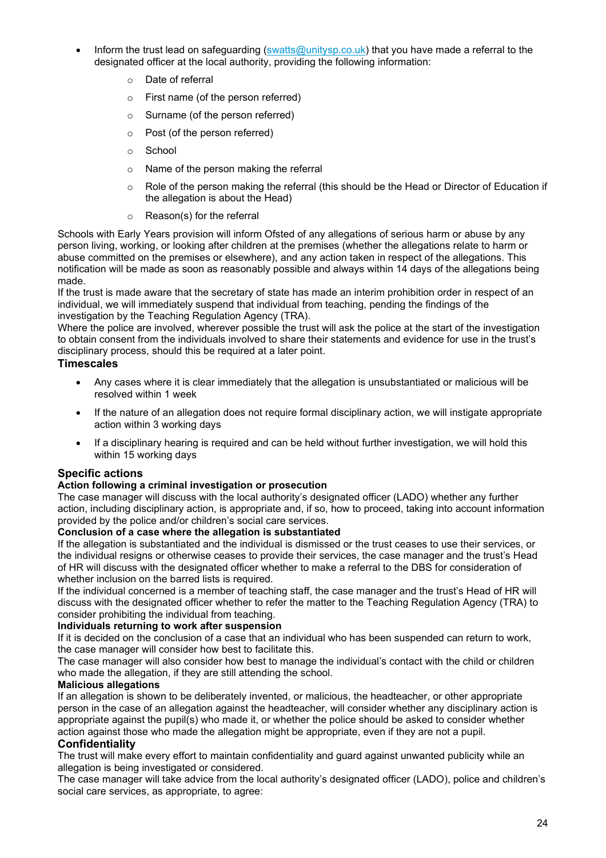- Inform the trust lead on safeguarding  $\frac{\text{swatts@unitysp.co.uk}}{\text{torsp.xos.uk}}$  that you have made a referral to the designated officer at the local authority, providing the following information:
	- o Date of referral
	- o First name (of the person referred)
	- o Surname (of the person referred)
	- o Post (of the person referred)
	- o School
	- o Name of the person making the referral
	- o Role of the person making the referral (this should be the Head or Director of Education if the allegation is about the Head)
	- o Reason(s) for the referral

Schools with Early Years provision will inform Ofsted of any allegations of serious harm or abuse by any person living, working, or looking after children at the premises (whether the allegations relate to harm or abuse committed on the premises or elsewhere), and any action taken in respect of the allegations. This notification will be made as soon as reasonably possible and always within 14 days of the allegations being made.

If the trust is made aware that the secretary of state has made an interim prohibition order in respect of an individual, we will immediately suspend that individual from teaching, pending the findings of the investigation by the Teaching Regulation Agency (TRA).

Where the police are involved, wherever possible the trust will ask the police at the start of the investigation to obtain consent from the individuals involved to share their statements and evidence for use in the trust's disciplinary process, should this be required at a later point.

#### **Timescales**

- Any cases where it is clear immediately that the allegation is unsubstantiated or malicious will be resolved within 1 week
- If the nature of an allegation does not require formal disciplinary action, we will instigate appropriate action within 3 working days
- If a disciplinary hearing is required and can be held without further investigation, we will hold this within 15 working days

#### **Specific actions**

#### **Action following a criminal investigation or prosecution**

The case manager will discuss with the local authority's designated officer (LADO) whether any further action, including disciplinary action, is appropriate and, if so, how to proceed, taking into account information provided by the police and/or children's social care services.

#### **Conclusion of a case where the allegation is substantiated**

If the allegation is substantiated and the individual is dismissed or the trust ceases to use their services, or the individual resigns or otherwise ceases to provide their services, the case manager and the trust's Head of HR will discuss with the designated officer whether to make a referral to the DBS for consideration of whether inclusion on the barred lists is required.

If the individual concerned is a member of teaching staff, the case manager and the trust's Head of HR will discuss with the designated officer whether to refer the matter to the Teaching Regulation Agency (TRA) to consider prohibiting the individual from teaching.

#### **Individuals returning to work after suspension**

If it is decided on the conclusion of a case that an individual who has been suspended can return to work, the case manager will consider how best to facilitate this.

The case manager will also consider how best to manage the individual's contact with the child or children who made the allegation, if they are still attending the school.

#### **Malicious allegations**

If an allegation is shown to be deliberately invented, or malicious, the headteacher, or other appropriate person in the case of an allegation against the headteacher, will consider whether any disciplinary action is appropriate against the pupil(s) who made it, or whether the police should be asked to consider whether action against those who made the allegation might be appropriate, even if they are not a pupil.

#### **Confidentiality**

The trust will make every effort to maintain confidentiality and guard against unwanted publicity while an allegation is being investigated or considered.

The case manager will take advice from the local authority's designated officer (LADO), police and children's social care services, as appropriate, to agree: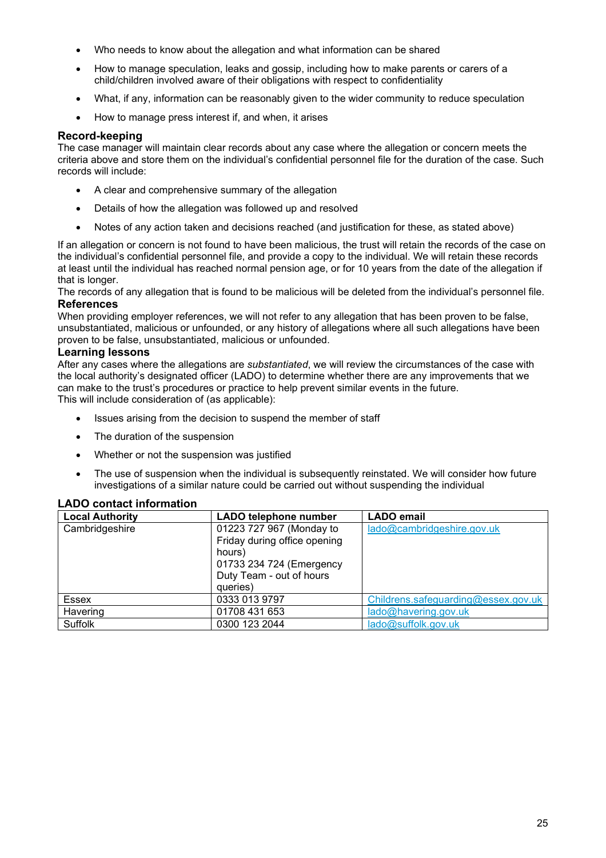- Who needs to know about the allegation and what information can be shared
- How to manage speculation, leaks and gossip, including how to make parents or carers of a child/children involved aware of their obligations with respect to confidentiality
- What, if any, information can be reasonably given to the wider community to reduce speculation
- How to manage press interest if, and when, it arises

#### **Record-keeping**

The case manager will maintain clear records about any case where the allegation or concern meets the criteria above and store them on the individual's confidential personnel file for the duration of the case. Such records will include:

- A clear and comprehensive summary of the allegation
- Details of how the allegation was followed up and resolved
- Notes of any action taken and decisions reached (and justification for these, as stated above)

If an allegation or concern is not found to have been malicious, the trust will retain the records of the case on the individual's confidential personnel file, and provide a copy to the individual. We will retain these records at least until the individual has reached normal pension age, or for 10 years from the date of the allegation if that is longer.

The records of any allegation that is found to be malicious will be deleted from the individual's personnel file. **References**

When providing employer references, we will not refer to any allegation that has been proven to be false, unsubstantiated, malicious or unfounded, or any history of allegations where all such allegations have been proven to be false, unsubstantiated, malicious or unfounded.

#### **Learning lessons**

After any cases where the allegations are *substantiated*, we will review the circumstances of the case with the local authority's designated officer (LADO) to determine whether there are any improvements that we can make to the trust's procedures or practice to help prevent similar events in the future. This will include consideration of (as applicable):

- Issues arising from the decision to suspend the member of staff
- The duration of the suspension
- Whether or not the suspension was justified
- The use of suspension when the individual is subsequently reinstated. We will consider how future investigations of a similar nature could be carried out without suspending the individual

#### **LADO contact information**

| <b>Local Authority</b> | <b>LADO telephone number</b> | <b>LADO</b> email                   |
|------------------------|------------------------------|-------------------------------------|
| Cambridgeshire         | 01223 727 967 (Monday to     | lado@cambridgeshire.gov.uk          |
|                        | Friday during office opening |                                     |
|                        | hours)                       |                                     |
|                        | 01733 234 724 (Emergency     |                                     |
|                        | Duty Team - out of hours     |                                     |
|                        | queries)                     |                                     |
| <b>Essex</b>           | 0333 013 9797                | Childrens.safeguarding@essex.gov.uk |
| Havering               | 01708 431 653                | lado@havering.gov.uk                |
| Suffolk                | 0300 123 2044                | lado@suffolk.gov.uk                 |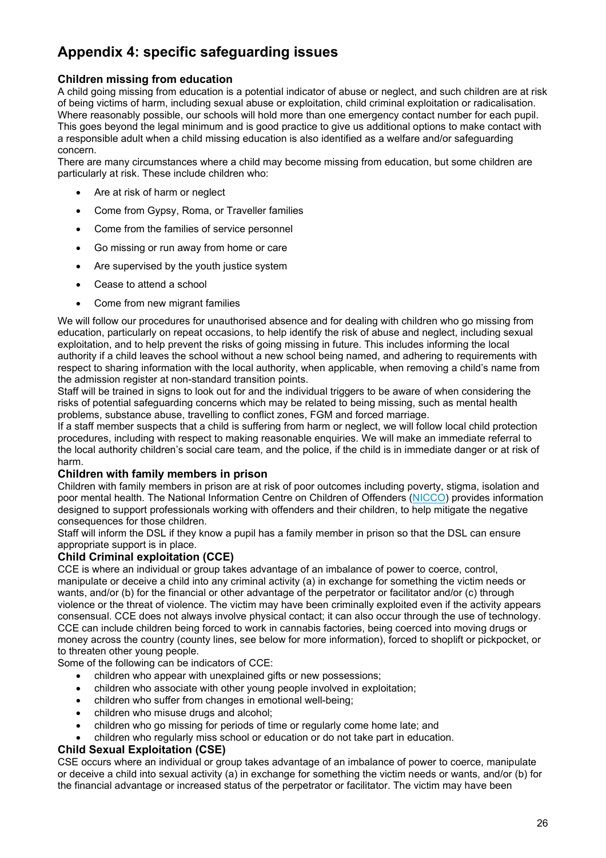# **Appendix 4: specific safeguarding issues**

#### **Children missing from education**

A child going missing from education is a potential indicator of abuse or neglect, and such children are at risk of being victims of harm, including sexual abuse or exploitation, child criminal exploitation or radicalisation. Where reasonably possible, our schools will hold more than one emergency contact number for each pupil. This goes beyond the legal minimum and is good practice to give us additional options to make contact with a responsible adult when a child missing education is also identified as a welfare and/or safeguarding concern.

There are many circumstances where a child may become missing from education, but some children are particularly at risk. These include children who:

- Are at risk of harm or neglect
- Come from Gypsy, Roma, or Traveller families
- Come from the families of service personnel
- Go missing or run away from home or care
- Are supervised by the youth justice system
- Cease to attend a school
- Come from new migrant families

We will follow our procedures for unauthorised absence and for dealing with children who go missing from education, particularly on repeat occasions, to help identify the risk of abuse and neglect, including sexual exploitation, and to help prevent the risks of going missing in future. This includes informing the local authority if a child leaves the school without a new school being named, and adhering to requirements with respect to sharing information with the local authority, when applicable, when removing a child's name from the admission register at non-standard transition points.

Staff will be trained in signs to look out for and the individual triggers to be aware of when considering the risks of potential safeguarding concerns which may be related to being missing, such as mental health problems, substance abuse, travelling to conflict zones, FGM and forced marriage.

If a staff member suspects that a child is suffering from harm or neglect, we will follow local child protection procedures, including with respect to making reasonable enquiries. We will make an immediate referral to the local authority children's social care team, and the police, if the child is in immediate danger or at risk of harm.

#### **Children with family members in prison**

Children with family members in prison are at risk of poor outcomes including poverty, stigma, isolation and poor mental health. The National Information Centre on Children of Offenders [\(NICCO\)](https://www.nicco.org.uk/) provides information designed to support professionals working with offenders and their children, to help mitigate the negative consequences for those children.

Staff will inform the DSL if they know a pupil has a family member in prison so that the DSL can ensure appropriate support is in place.

#### **Child Criminal exploitation (CCE)**

CCE is where an individual or group takes advantage of an imbalance of power to coerce, control, manipulate or deceive a child into any criminal activity (a) in exchange for something the victim needs or wants, and/or (b) for the financial or other advantage of the perpetrator or facilitator and/or (c) through violence or the threat of violence. The victim may have been criminally exploited even if the activity appears consensual. CCE does not always involve physical contact; it can also occur through the use of technology. CCE can include children being forced to work in cannabis factories, being coerced into moving drugs or money across the country (county lines, see below for more information), forced to shoplift or pickpocket, or to threaten other young people.

Some of the following can be indicators of CCE:

- children who appear with unexplained gifts or new possessions;
- children who associate with other young people involved in exploitation;
- children who suffer from changes in emotional well-being;
- children who misuse drugs and alcohol;
- children who go missing for periods of time or regularly come home late; and
- children who regularly miss school or education or do not take part in education.

#### **Child Sexual Exploitation (CSE)**

CSE occurs where an individual or group takes advantage of an imbalance of power to coerce, manipulate or deceive a child into sexual activity (a) in exchange for something the victim needs or wants, and/or (b) for the financial advantage or increased status of the perpetrator or facilitator. The victim may have been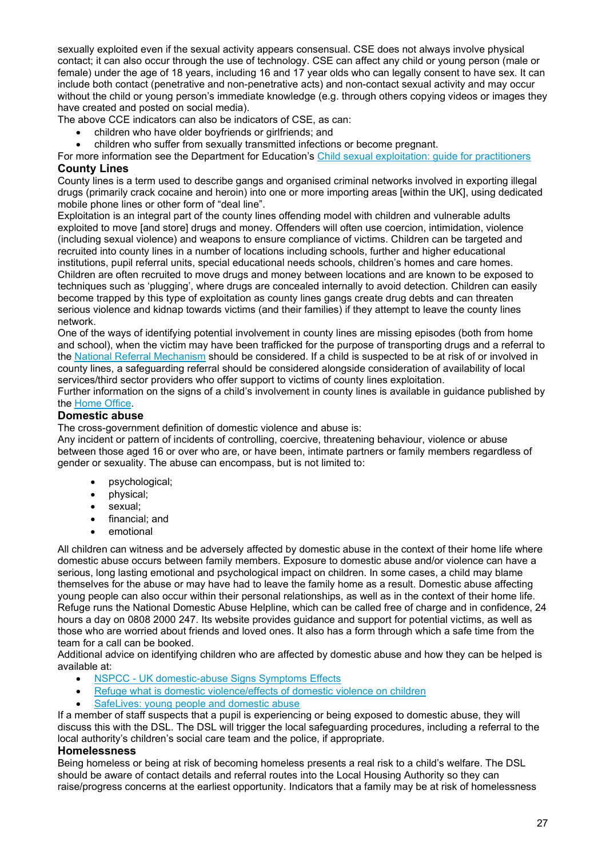sexually exploited even if the sexual activity appears consensual. CSE does not always involve physical contact; it can also occur through the use of technology. CSE can affect any child or young person (male or female) under the age of 18 years, including 16 and 17 year olds who can legally consent to have sex. It can include both contact (penetrative and non-penetrative acts) and non-contact sexual activity and may occur without the child or young person's immediate knowledge (e.g. through others copying videos or images they have created and posted on social media).

The above CCE indicators can also be indicators of CSE, as can:

- children who have older boyfriends or girlfriends; and
- children who suffer from sexually transmitted infections or become pregnant.
- For more information see the Department for Education's [Child sexual exploitation: guide for practitioners](https://www.gov.uk/government/publications/child-sexual-exploitation-definition-and-guide-for-practitioners) **County Lines**

County lines is a term used to describe gangs and organised criminal networks involved in exporting illegal drugs (primarily crack cocaine and heroin) into one or more importing areas [within the UK], using dedicated mobile phone lines or other form of "deal line".

Exploitation is an integral part of the county lines offending model with children and vulnerable adults exploited to move [and store] drugs and money. Offenders will often use coercion, intimidation, violence (including sexual violence) and weapons to ensure compliance of victims. Children can be targeted and recruited into county lines in a number of locations including schools, further and higher educational institutions, pupil referral units, special educational needs schools, children's homes and care homes. Children are often recruited to move drugs and money between locations and are known to be exposed to techniques such as 'plugging', where drugs are concealed internally to avoid detection. Children can easily become trapped by this type of exploitation as county lines gangs create drug debts and can threaten serious violence and kidnap towards victims (and their families) if they attempt to leave the county lines network.

One of the ways of identifying potential involvement in county lines are missing episodes (both from home and school), when the victim may have been trafficked for the purpose of transporting drugs and a referral to the [National Referral Mechanism](https://www.nationalcrimeagency.gov.uk/what-we-do/crime-threats/modern-slavery-and-human-trafficking) should be considered. If a child is suspected to be at risk of or involved in county lines, a safeguarding referral should be considered alongside consideration of availability of local services/third sector providers who offer support to victims of county lines exploitation.

Further information on the signs of a child's involvement in county lines is available in guidance published by the [Home Office.](https://www.gov.uk/government/publications/criminal-exploitation-of-children-and-vulnerable-adults-county-lines)

#### **Domestic abuse**

The cross-government definition of domestic violence and abuse is:

Any incident or pattern of incidents of controlling, coercive, threatening behaviour, violence or abuse between those aged 16 or over who are, or have been, intimate partners or family members regardless of gender or sexuality. The abuse can encompass, but is not limited to:

- psychological;
- physical;
- sexual;
- financial; and
- emotional

All children can witness and be adversely affected by domestic abuse in the context of their home life where domestic abuse occurs between family members. Exposure to domestic abuse and/or violence can have a serious, long lasting emotional and psychological impact on children. In some cases, a child may blame themselves for the abuse or may have had to leave the family home as a result. Domestic abuse affecting young people can also occur within their personal relationships, as well as in the context of their home life. Refuge runs the National Domestic Abuse Helpline, which can be called free of charge and in confidence, 24 hours a day on 0808 2000 247. Its website provides guidance and support for potential victims, as well as those who are worried about friends and loved ones. It also has a form through which a safe time from the team for a call can be booked.

Additional advice on identifying children who are affected by domestic abuse and how they can be helped is available at:

- NSPCC [UK domestic-abuse Signs Symptoms Effects](https://www.nspcc.org.uk/what-is-child-abuse/types-of-abuse/domestic-abuse/)
- [Refuge what is domestic violence/effects of domestic violence on children](http://www.refuge.org.uk/get-help-now/support-for-women/what-about-my-children/)
- [SafeLives: young people and domestic abuse](https://safelives.org.uk/knowledge-hub/spotlights/spotlight-3-young-people-and-domestic-abuse)

If a member of staff suspects that a pupil is experiencing or being exposed to domestic abuse, they will discuss this with the DSL. The DSL will trigger the local safeguarding procedures, including a referral to the local authority's children's social care team and the police, if appropriate.

#### **Homelessness**

Being homeless or being at risk of becoming homeless presents a real risk to a child's welfare. The DSL should be aware of contact details and referral routes into the Local Housing Authority so they can raise/progress concerns at the earliest opportunity. Indicators that a family may be at risk of homelessness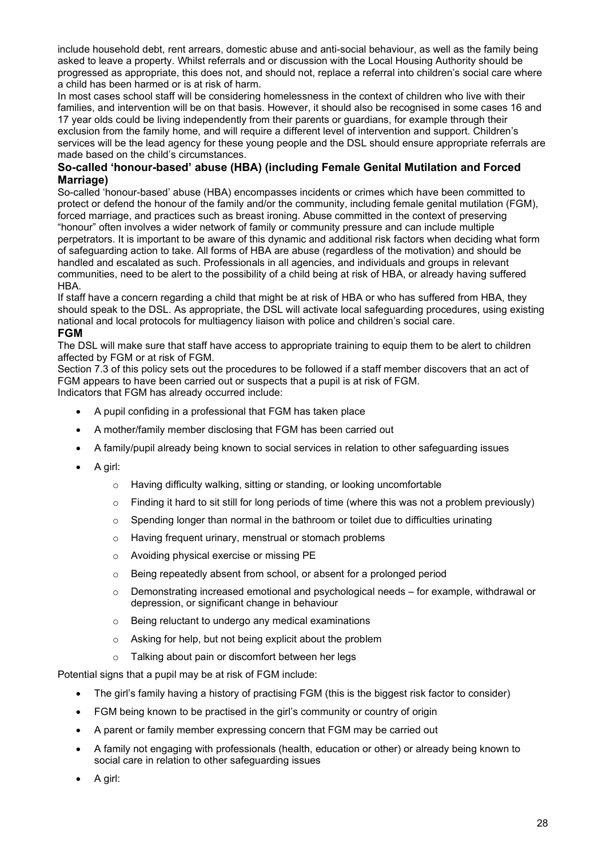include household debt, rent arrears, domestic abuse and anti-social behaviour, as well as the family being asked to leave a property. Whilst referrals and or discussion with the Local Housing Authority should be progressed as appropriate, this does not, and should not, replace a referral into children's social care where a child has been harmed or is at risk of harm.

In most cases school staff will be considering homelessness in the context of children who live with their families, and intervention will be on that basis. However, it should also be recognised in some cases 16 and 17 year olds could be living independently from their parents or guardians, for example through their exclusion from the family home, and will require a different level of intervention and support. Children's services will be the lead agency for these young people and the DSL should ensure appropriate referrals are made based on the child's circumstances.

#### **So-called 'honour-based' abuse (HBA) (including Female Genital Mutilation and Forced Marriage)**

So-called 'honour-based' abuse (HBA) encompasses incidents or crimes which have been committed to protect or defend the honour of the family and/or the community, including female genital mutilation (FGM), forced marriage, and practices such as breast ironing. Abuse committed in the context of preserving "honour" often involves a wider network of family or community pressure and can include multiple perpetrators. It is important to be aware of this dynamic and additional risk factors when deciding what form of safeguarding action to take. All forms of HBA are abuse (regardless of the motivation) and should be handled and escalated as such. Professionals in all agencies, and individuals and groups in relevant communities, need to be alert to the possibility of a child being at risk of HBA, or already having suffered HBA.

If staff have a concern regarding a child that might be at risk of HBA or who has suffered from HBA, they should speak to the DSL. As appropriate, the DSL will activate local safeguarding procedures, using existing national and local protocols for multiagency liaison with police and children's social care.

#### **FGM**

The DSL will make sure that staff have access to appropriate training to equip them to be alert to children affected by FGM or at risk of FGM.

Section 7.3 of this policy sets out the procedures to be followed if a staff member discovers that an act of FGM appears to have been carried out or suspects that a pupil is at risk of FGM. Indicators that FGM has already occurred include:

- A pupil confiding in a professional that FGM has taken place
- A mother/family member disclosing that FGM has been carried out
- A family/pupil already being known to social services in relation to other safeguarding issues
- A girl:
	- o Having difficulty walking, sitting or standing, or looking uncomfortable
	- $\circ$  Finding it hard to sit still for long periods of time (where this was not a problem previously)
	- $\circ$  Spending longer than normal in the bathroom or toilet due to difficulties urinating
	- o Having frequent urinary, menstrual or stomach problems
	- o Avoiding physical exercise or missing PE
	- o Being repeatedly absent from school, or absent for a prolonged period
	- $\circ$  Demonstrating increased emotional and psychological needs for example, withdrawal or depression, or significant change in behaviour
	- o Being reluctant to undergo any medical examinations
	- o Asking for help, but not being explicit about the problem
	- o Talking about pain or discomfort between her legs

Potential signs that a pupil may be at risk of FGM include:

- The girl's family having a history of practising FGM (this is the biggest risk factor to consider)
- FGM being known to be practised in the girl's community or country of origin
- A parent or family member expressing concern that FGM may be carried out
- A family not engaging with professionals (health, education or other) or already being known to social care in relation to other safeguarding issues
- A girl: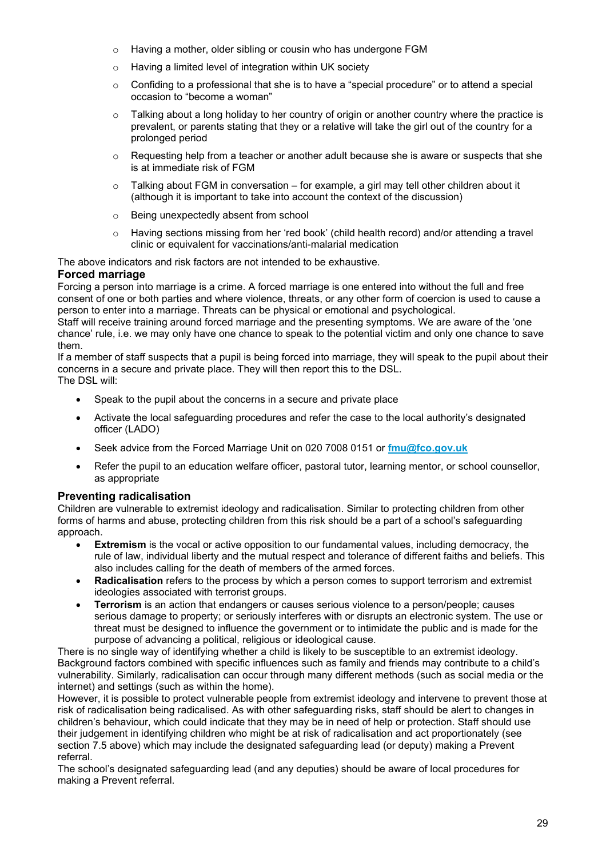- o Having a mother, older sibling or cousin who has undergone FGM
- o Having a limited level of integration within UK society
- $\circ$  Confiding to a professional that she is to have a "special procedure" or to attend a special occasion to "become a woman"
- $\circ$  Talking about a long holiday to her country of origin or another country where the practice is prevalent, or parents stating that they or a relative will take the girl out of the country for a prolonged period
- $\circ$  Requesting help from a teacher or another adult because she is aware or suspects that she is at immediate risk of FGM
- $\circ$  Talking about FGM in conversation for example, a girl may tell other children about it (although it is important to take into account the context of the discussion)
- o Being unexpectedly absent from school
- o Having sections missing from her 'red book' (child health record) and/or attending a travel clinic or equivalent for vaccinations/anti-malarial medication

The above indicators and risk factors are not intended to be exhaustive.

#### **Forced marriage**

Forcing a person into marriage is a crime. A forced marriage is one entered into without the full and free consent of one or both parties and where violence, threats, or any other form of coercion is used to cause a person to enter into a marriage. Threats can be physical or emotional and psychological.

Staff will receive training around forced marriage and the presenting symptoms. We are aware of the 'one chance' rule, i.e. we may only have one chance to speak to the potential victim and only one chance to save them.

If a member of staff suspects that a pupil is being forced into marriage, they will speak to the pupil about their concerns in a secure and private place. They will then report this to the DSL. The DSL will:

- Speak to the pupil about the concerns in a secure and private place
- Activate the local safeguarding procedures and refer the case to the local authority's designated officer (LADO)
- Seek advice from the Forced Marriage Unit on 020 7008 0151 or **[fmu@fco.gov.uk](mailto:fmu@fco.gov.uk)**
- Refer the pupil to an education welfare officer, pastoral tutor, learning mentor, or school counsellor, as appropriate

#### **Preventing radicalisation**

Children are vulnerable to extremist ideology and radicalisation. Similar to protecting children from other forms of harms and abuse, protecting children from this risk should be a part of a school's safeguarding approach.

- **Extremism** is the vocal or active opposition to our fundamental values, including democracy, the rule of law, individual liberty and the mutual respect and tolerance of different faiths and beliefs. This also includes calling for the death of members of the armed forces.
- **Radicalisation** refers to the process by which a person comes to support terrorism and extremist ideologies associated with terrorist groups.
- **Terrorism** is an action that endangers or causes serious violence to a person/people; causes serious damage to property; or seriously interferes with or disrupts an electronic system. The use or threat must be designed to influence the government or to intimidate the public and is made for the purpose of advancing a political, religious or ideological cause.

There is no single way of identifying whether a child is likely to be susceptible to an extremist ideology. Background factors combined with specific influences such as family and friends may contribute to a child's vulnerability. Similarly, radicalisation can occur through many different methods (such as social media or the internet) and settings (such as within the home).

However, it is possible to protect vulnerable people from extremist ideology and intervene to prevent those at risk of radicalisation being radicalised. As with other safeguarding risks, staff should be alert to changes in children's behaviour, which could indicate that they may be in need of help or protection. Staff should use their judgement in identifying children who might be at risk of radicalisation and act proportionately (see section 7.5 above) which may include the designated safeguarding lead (or deputy) making a Prevent referral.

The school's designated safeguarding lead (and any deputies) should be aware of local procedures for making a Prevent referral.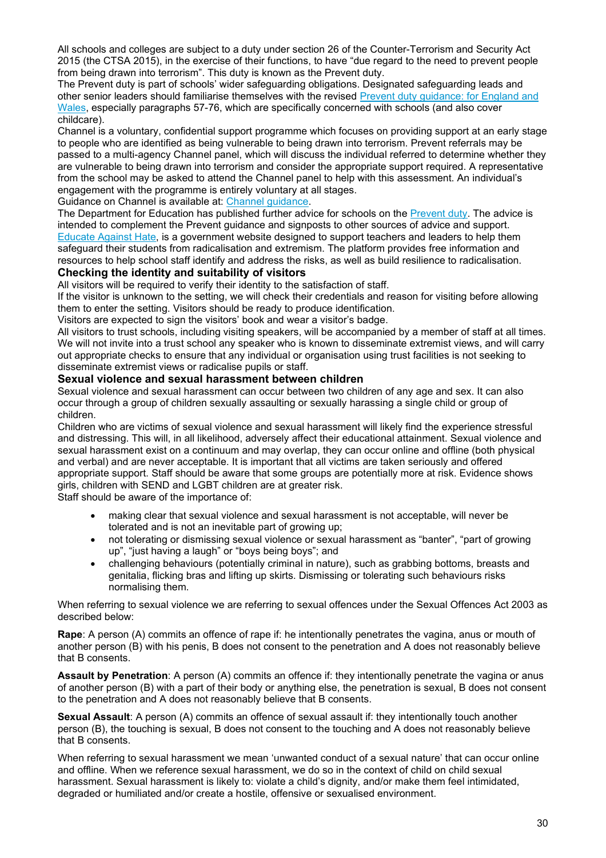All schools and colleges are subject to a duty under section 26 of the Counter-Terrorism and Security Act 2015 (the CTSA 2015), in the exercise of their functions, to have "due regard to the need to prevent people from being drawn into terrorism". This duty is known as the Prevent duty.

The Prevent duty is part of schools' wider safeguarding obligations. Designated safeguarding leads and other senior leaders should familiarise themselves with the revised [Prevent duty guidance: for England and](https://www.gov.uk/government/publications/prevent-duty-guidance)  [Wales,](https://www.gov.uk/government/publications/prevent-duty-guidance) especially paragraphs 57-76, which are specifically concerned with schools (and also cover childcare).

Channel is a voluntary, confidential support programme which focuses on providing support at an early stage to people who are identified as being vulnerable to being drawn into terrorism. Prevent referrals may be passed to a multi-agency Channel panel, which will discuss the individual referred to determine whether they are vulnerable to being drawn into terrorism and consider the appropriate support required. A representative from the school may be asked to attend the Channel panel to help with this assessment. An individual's engagement with the programme is entirely voluntary at all stages.

Guidance on Channel is available at: [Channel guidance.](https://www.gov.uk/government/publications/channel-guidance)

The Department for Education has published further advice for schools on the [Prevent duty.](https://www.gov.uk/government/publications/protecting-children-from-radicalisation-the-prevent-duty) The advice is intended to complement the Prevent guidance and signposts to other sources of advice and support. [Educate Against Hate,](https://educateagainsthate.com/) is a government website designed to support teachers and leaders to help them safeguard their students from radicalisation and extremism. The platform provides free information and resources to help school staff identify and address the risks, as well as build resilience to radicalisation.

#### **Checking the identity and suitability of visitors**

All visitors will be required to verify their identity to the satisfaction of staff.

If the visitor is unknown to the setting, we will check their credentials and reason for visiting before allowing them to enter the setting. Visitors should be ready to produce identification.

Visitors are expected to sign the visitors' book and wear a visitor's badge.

All visitors to trust schools, including visiting speakers, will be accompanied by a member of staff at all times. We will not invite into a trust school any speaker who is known to disseminate extremist views, and will carry out appropriate checks to ensure that any individual or organisation using trust facilities is not seeking to disseminate extremist views or radicalise pupils or staff.

#### **Sexual violence and sexual harassment between children**

Sexual violence and sexual harassment can occur between two children of any age and sex. It can also occur through a group of children sexually assaulting or sexually harassing a single child or group of children.

Children who are victims of sexual violence and sexual harassment will likely find the experience stressful and distressing. This will, in all likelihood, adversely affect their educational attainment. Sexual violence and sexual harassment exist on a continuum and may overlap, they can occur online and offline (both physical and verbal) and are never acceptable. It is important that all victims are taken seriously and offered appropriate support. Staff should be aware that some groups are potentially more at risk. Evidence shows girls, children with SEND and LGBT children are at greater risk.

Staff should be aware of the importance of:

- making clear that sexual violence and sexual harassment is not acceptable, will never be tolerated and is not an inevitable part of growing up;
- not tolerating or dismissing sexual violence or sexual harassment as "banter", "part of growing up", "just having a laugh" or "boys being boys"; and
- challenging behaviours (potentially criminal in nature), such as grabbing bottoms, breasts and genitalia, flicking bras and lifting up skirts. Dismissing or tolerating such behaviours risks normalising them.

When referring to sexual violence we are referring to sexual offences under the Sexual Offences Act 2003 as described below:

**Rape**: A person (A) commits an offence of rape if: he intentionally penetrates the vagina, anus or mouth of another person (B) with his penis, B does not consent to the penetration and A does not reasonably believe that B consents.

**Assault by Penetration**: A person (A) commits an offence if: they intentionally penetrate the vagina or anus of another person (B) with a part of their body or anything else, the penetration is sexual, B does not consent to the penetration and A does not reasonably believe that B consents.

**Sexual Assault**: A person (A) commits an offence of sexual assault if: they intentionally touch another person (B), the touching is sexual, B does not consent to the touching and A does not reasonably believe that B consents.

When referring to sexual harassment we mean 'unwanted conduct of a sexual nature' that can occur online and offline. When we reference sexual harassment, we do so in the context of child on child sexual harassment. Sexual harassment is likely to: violate a child's dignity, and/or make them feel intimidated, degraded or humiliated and/or create a hostile, offensive or sexualised environment.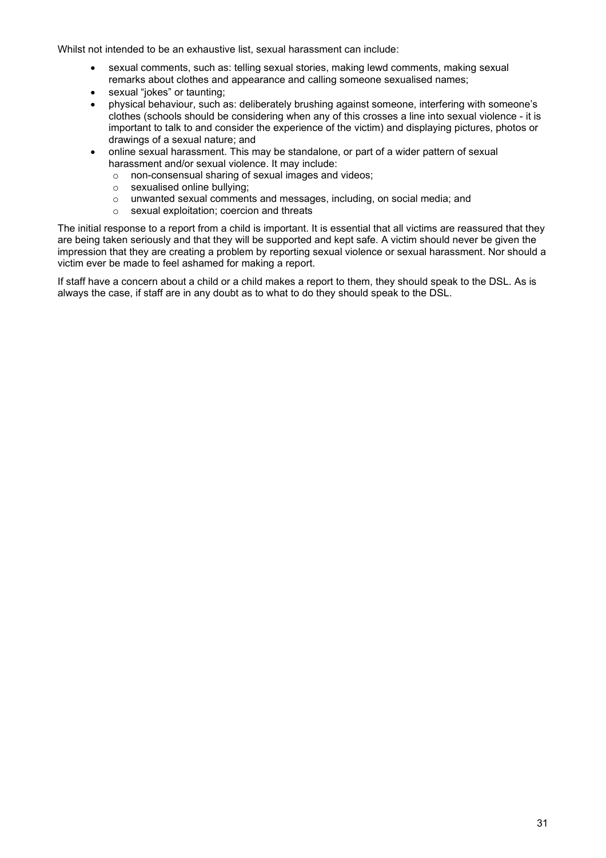Whilst not intended to be an exhaustive list, sexual harassment can include:

- sexual comments, such as: telling sexual stories, making lewd comments, making sexual remarks about clothes and appearance and calling someone sexualised names;
- sexual "jokes" or taunting;
- physical behaviour, such as: deliberately brushing against someone, interfering with someone's clothes (schools should be considering when any of this crosses a line into sexual violence - it is important to talk to and consider the experience of the victim) and displaying pictures, photos or drawings of a sexual nature; and
- online sexual harassment. This may be standalone, or part of a wider pattern of sexual harassment and/or sexual violence. It may include:
	- o non-consensual sharing of sexual images and videos;
	- o sexualised online bullying;
	- o unwanted sexual comments and messages, including, on social media; and  $\circ$  sexual exploitation: coercion and threats
	- sexual exploitation; coercion and threats

The initial response to a report from a child is important. It is essential that all victims are reassured that they are being taken seriously and that they will be supported and kept safe. A victim should never be given the impression that they are creating a problem by reporting sexual violence or sexual harassment. Nor should a victim ever be made to feel ashamed for making a report.

If staff have a concern about a child or a child makes a report to them, they should speak to the DSL. As is always the case, if staff are in any doubt as to what to do they should speak to the DSL.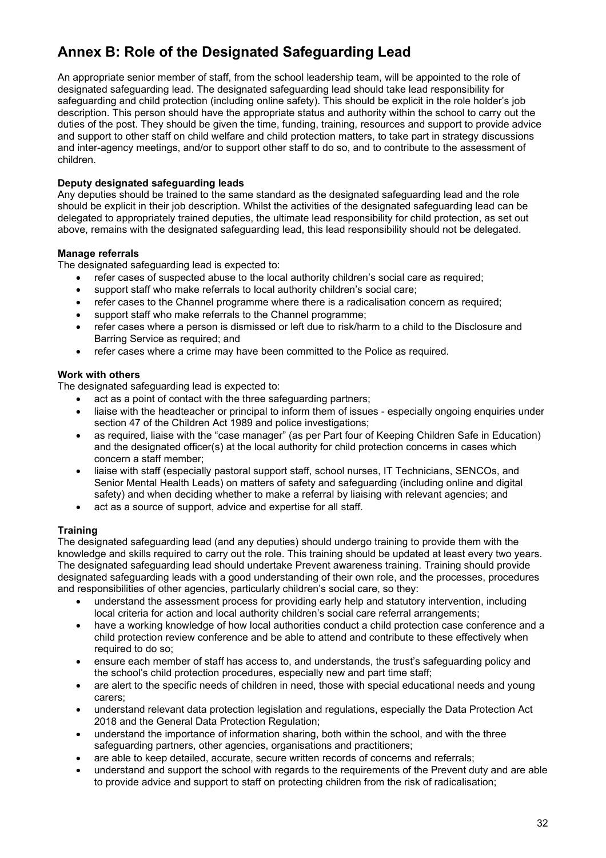# **Annex B: Role of the Designated Safeguarding Lead**

An appropriate senior member of staff, from the school leadership team, will be appointed to the role of designated safeguarding lead. The designated safeguarding lead should take lead responsibility for safeguarding and child protection (including online safety). This should be explicit in the role holder's job description. This person should have the appropriate status and authority within the school to carry out the duties of the post. They should be given the time, funding, training, resources and support to provide advice and support to other staff on child welfare and child protection matters, to take part in strategy discussions and inter-agency meetings, and/or to support other staff to do so, and to contribute to the assessment of children.

#### **Deputy designated safeguarding leads**

Any deputies should be trained to the same standard as the designated safeguarding lead and the role should be explicit in their job description. Whilst the activities of the designated safeguarding lead can be delegated to appropriately trained deputies, the ultimate lead responsibility for child protection, as set out above, remains with the designated safeguarding lead, this lead responsibility should not be delegated.

#### **Manage referrals**

The designated safeguarding lead is expected to:

- refer cases of suspected abuse to the local authority children's social care as required;
- support staff who make referrals to local authority children's social care;
- refer cases to the Channel programme where there is a radicalisation concern as required;
- support staff who make referrals to the Channel programme;
- refer cases where a person is dismissed or left due to risk/harm to a child to the Disclosure and Barring Service as required; and
- refer cases where a crime may have been committed to the Police as required.

#### **Work with others**

The designated safeguarding lead is expected to:

- act as a point of contact with the three safeguarding partners;
- liaise with the headteacher or principal to inform them of issues especially ongoing enquiries under section 47 of the Children Act 1989 and police investigations;
- as required, liaise with the "case manager" (as per Part four of Keeping Children Safe in Education) and the designated officer(s) at the local authority for child protection concerns in cases which concern a staff member;
- liaise with staff (especially pastoral support staff, school nurses, IT Technicians, SENCOs, and Senior Mental Health Leads) on matters of safety and safeguarding (including online and digital safety) and when deciding whether to make a referral by liaising with relevant agencies; and
- act as a source of support, advice and expertise for all staff.

#### **Training**

The designated safeguarding lead (and any deputies) should undergo training to provide them with the knowledge and skills required to carry out the role. This training should be updated at least every two years. The designated safeguarding lead should undertake Prevent awareness training. Training should provide designated safeguarding leads with a good understanding of their own role, and the processes, procedures and responsibilities of other agencies, particularly children's social care, so they:

- understand the assessment process for providing early help and statutory intervention, including local criteria for action and local authority children's social care referral arrangements;
- have a working knowledge of how local authorities conduct a child protection case conference and a child protection review conference and be able to attend and contribute to these effectively when required to do so;
- ensure each member of staff has access to, and understands, the trust's safeguarding policy and the school's child protection procedures, especially new and part time staff;
- are alert to the specific needs of children in need, those with special educational needs and young carers;
- understand relevant data protection legislation and regulations, especially the Data Protection Act 2018 and the General Data Protection Regulation;
- understand the importance of information sharing, both within the school, and with the three safeguarding partners, other agencies, organisations and practitioners;
- are able to keep detailed, accurate, secure written records of concerns and referrals;
- understand and support the school with regards to the requirements of the Prevent duty and are able to provide advice and support to staff on protecting children from the risk of radicalisation;